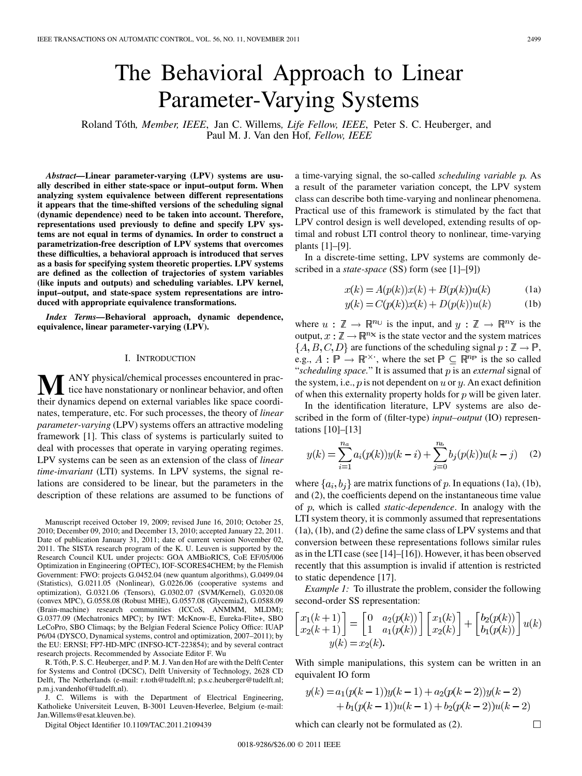# The Behavioral Approach to Linear Parameter-Varying Systems

Roland Tóth*, Member, IEEE*, Jan C. Willems*, Life Fellow, IEEE*, Peter S. C. Heuberger, and Paul M. J. Van den Hof*, Fellow, IEEE*

*Abstract—***Linear parameter-varying (LPV) systems are usually described in either state-space or input–output form. When analyzing system equivalence between different representations it appears that the time-shifted versions of the scheduling signal (dynamic dependence) need to be taken into account. Therefore, representations used previously to define and specify LPV systems are not equal in terms of dynamics. In order to construct a parametrization-free description of LPV systems that overcomes these difficulties, a behavioral approach is introduced that serves as a basis for specifying system theoretic properties. LPV systems are defined as the collection of trajectories of system variables (like inputs and outputs) and scheduling variables. LPV kernel, input–output, and state-space system representations are introduced with appropriate equivalence transformations.**

*Index Terms—***Behavioral approach, dynamic dependence, equivalence, linear parameter-varying (LPV).**

#### I. INTRODUCTION

**M**ANY physical/chemical processes encountered in practice have nonstationary or nonlinear behavior, and often their dunamics depend on automal variables like appear coordi their dynamics depend on external variables like space coordinates, temperature, etc. For such processes, the theory of *linear parameter-varying* (LPV) systems offers an attractive modeling framework [1]. This class of systems is particularly suited to deal with processes that operate in varying operating regimes. LPV systems can be seen as an extension of the class of *linear time-invariant* (LTI) systems. In LPV systems, the signal relations are considered to be linear, but the parameters in the description of these relations are assumed to be functions of

Manuscript received October 19, 2009; revised June 16, 2010; October 25, 2010; December 09, 2010; and December 13, 2010; accepted January 22, 2011. Date of publication January 31, 2011; date of current version November 02, 2011. The SISTA research program of the K. U. Leuven is supported by the Research Council KUL under projects: GOA AMBioRICS, CoE EF/05/006 Optimization in Engineering (OPTEC), IOF-SCORES4CHEM; by the Flemish Government: FWO: projects G.0452.04 (new quantum algorithms), G.0499.04 (Statistics), G.0211.05 (Nonlinear), G.0226.06 (cooperative systems and optimization), G.0321.06 (Tensors), G.0302.07 (SVM/Kernel), G.0320.08 (convex MPC), G.0558.08 (Robust MHE), G.0557.08 (Glycemia2), G.0588.09 (Brain-machine) research communities (ICCoS, ANMMM, MLDM); G.0377.09 (Mechatronics MPC); by IWT: McKnow-E, Eureka-Flite+, SBO LeCoPro, SBO Climaqs; by the Belgian Federal Science Policy Office: IUAP P6/04 (DYSCO, Dynamical systems, control and optimization, 2007–2011); by the EU: ERNSI; FP7-HD-MPC (INFSO-ICT-223854); and by several contract research projects. Recommended by Associate Editor F. Wu

R. Tóth, P. S. C. Heuberger, and P. M. J. Van den Hof are with the Delft Center for Systems and Control (DCSC), Delft University of Technology, 2628 CD Delft, The Netherlands (e-mail: r.toth@tudelft.nl; p.s.c.heuberger@tudelft.nl; p.m.j.vandenhof@tudelft.nl).

J. C. Willems is with the Department of Electrical Engineering, Katholieke Universiteit Leuven, B-3001 Leuven-Heverlee, Belgium (e-mail: Jan.Willems@esat.kleuven.be).

Digital Object Identifier 10.1109/TAC.2011.2109439

a time-varying signal, the so-called *scheduling variable* p. As a result of the parameter variation concept, the LPV system class can describe both time-varying and nonlinear phenomena. Practical use of this framework is stimulated by the fact that LPV control design is well developed, extending results of optimal and robust LTI control theory to nonlinear, time-varying plants [1]–[9].

In a discrete-time setting, LPV systems are commonly described in a *state-space* (SS) form (see [1]–[9])

$$
x(k) = A(p(k))x(k) + B(p(k))u(k)
$$
 (1a)

$$
y(k) = C(p(k))x(k) + D(p(k))u(k)
$$
 (1b)

where  $u : \mathbb{Z} \to \mathbb{R}^{n_{\cup}}$  is the input, and  $y : \mathbb{Z} \to \mathbb{R}^{n_{\Upsilon}}$  is the output,  $x : \mathbb{Z} \to \mathbb{R}^{n_{\times}}$  is the state vector and the system matrices  $\{A, B, C, D\}$  are functions of the scheduling signal  $p : \mathbb{Z} \to \mathbb{P}$ , e.g.,  $A : \mathbb{P} \to \mathbb{R}^{\cdot \times}$ , where the set  $\mathbb{P} \subseteq \mathbb{R}^{n_{\mathbb{P}}}$  is the so called "*scheduling space.*" It is assumed that  $p$  is an *external* signal of the system, i.e.,  $p$  is not dependent on  $u$  or  $y$ . An exact definition of when this externality property holds for  $p$  will be given later.

In the identification literature, LPV systems are also described in the form of (filter-type) *input–output* (IO) representations [10]–[13]

$$
y(k) = \sum_{i=1}^{n_a} a_i(p(k))y(k-i) + \sum_{j=0}^{n_b} b_j(p(k))u(k-j) \quad (2)
$$

where  $\{a_i, b_j\}$  are matrix functions of p. In equations (1a), (1b), and (2), the coefficients depend on the instantaneous time value of p, which is called *static-dependence*. In analogy with the LTI system theory, it is commonly assumed that representations (1a), (1b), and (2) define the same class of LPV systems and that conversion between these representations follows similar rules as in the LTI case (see [14]–[16]). However, it has been observed recently that this assumption is invalid if attention is restricted to static dependence [17].

*Example 1:* To illustrate the problem, consider the following second-order SS representation:

$$
\begin{bmatrix} x_1(k+1) \\ x_2(k+1) \end{bmatrix} = \begin{bmatrix} 0 & a_2(p(k)) \\ 1 & a_1(p(k)) \end{bmatrix} \begin{bmatrix} x_1(k) \\ x_2(k) \end{bmatrix} + \begin{bmatrix} b_2(p(k)) \\ b_1(p(k)) \end{bmatrix} u(k)
$$
  

$$
y(k) = x_2(k).
$$

With simple manipulations, this system can be written in an equivalent IO form

$$
y(k) = a_1(p(k-1))y(k-1) + a_2(p(k-2))y(k-2)
$$
  
+  $b_1(p(k-1))u(k-1) + b_2(p(k-2))u(k-2)$ 

 $\Box$ 

which can clearly not be formulated as (2).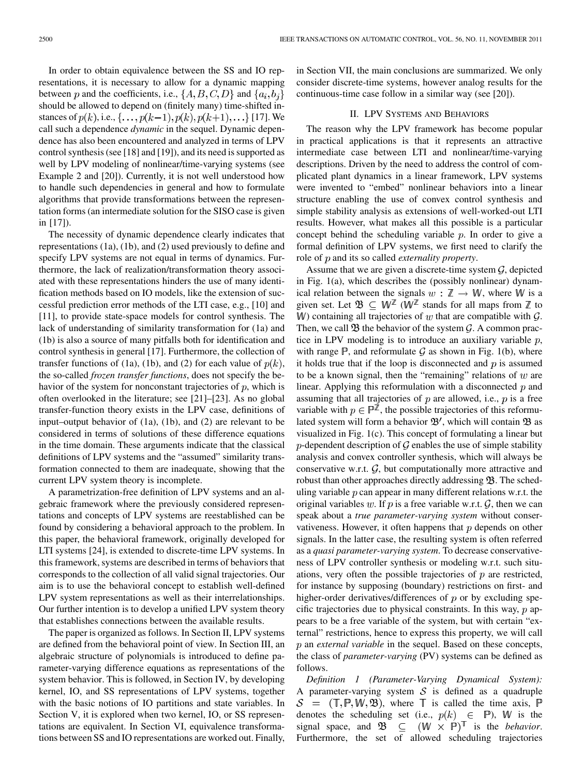In order to obtain equivalence between the SS and IO representations, it is necessary to allow for a dynamic mapping between p and the coefficients, i.e.,  $\{A, B, C, D\}$  and  $\{a_i, b_i\}$ should be allowed to depend on (finitely many) time-shifted instances of  $p(k)$ , i.e.,  $\{ \ldots, p(k-1), p(k), p(k+1), \ldots \}$  [17]. We call such a dependence *dynamic* in the sequel. Dynamic dependence has also been encountered and analyzed in terms of LPV control synthesis (see [18] and [19]), and its need is supported as well by LPV modeling of nonlinear/time-varying systems (see Example 2 and [20]). Currently, it is not well understood how to handle such dependencies in general and how to formulate algorithms that provide transformations between the representation forms (an intermediate solution for the SISO case is given in [17]).

The necessity of dynamic dependence clearly indicates that representations (1a), (1b), and (2) used previously to define and specify LPV systems are not equal in terms of dynamics. Furthermore, the lack of realization/transformation theory associated with these representations hinders the use of many identification methods based on IO models, like the extension of successful prediction error methods of the LTI case, e.g., [10] and [11], to provide state-space models for control synthesis. The lack of understanding of similarity transformation for (1a) and (1b) is also a source of many pitfalls both for identification and control synthesis in general [17]. Furthermore, the collection of transfer functions of (1a), (1b), and (2) for each value of  $p(k)$ , the so-called *frozen transfer functions*, does not specify the behavior of the system for nonconstant trajectories of  $p$ , which is often overlooked in the literature; see [21]–[23]. As no global transfer-function theory exists in the LPV case, definitions of input–output behavior of (1a), (1b), and (2) are relevant to be considered in terms of solutions of these difference equations in the time domain. These arguments indicate that the classical definitions of LPV systems and the "assumed" similarity transformation connected to them are inadequate, showing that the current LPV system theory is incomplete.

A parametrization-free definition of LPV systems and an algebraic framework where the previously considered representations and concepts of LPV systems are reestablished can be found by considering a behavioral approach to the problem. In this paper, the behavioral framework, originally developed for LTI systems [24], is extended to discrete-time LPV systems. In this framework, systems are described in terms of behaviors that corresponds to the collection of all valid signal trajectories. Our aim is to use the behavioral concept to establish well-defined LPV system representations as well as their interrelationships. Our further intention is to develop a unified LPV system theory that establishes connections between the available results.

The paper is organized as follows. In Section II, LPV systems are defined from the behavioral point of view. In Section III, an algebraic structure of polynomials is introduced to define parameter-varying difference equations as representations of the system behavior. This is followed, in Section IV, by developing kernel, IO, and SS representations of LPV systems, together with the basic notions of IO partitions and state variables. In Section V, it is explored when two kernel, IO, or SS representations are equivalent. In Section VI, equivalence transformations between SS and IO representations are worked out. Finally,

in Section VII, the main conclusions are summarized. We only consider discrete-time systems, however analog results for the continuous-time case follow in a similar way (see [20]).

# II. LPV SYSTEMS AND BEHAVIORS

The reason why the LPV framework has become popular in practical applications is that it represents an attractive intermediate case between LTI and nonlinear/time-varying descriptions. Driven by the need to address the control of complicated plant dynamics in a linear framework, LPV systems were invented to "embed" nonlinear behaviors into a linear structure enabling the use of convex control synthesis and simple stability analysis as extensions of well-worked-out LTI results. However, what makes all this possible is a particular concept behind the scheduling variable  $p$ . In order to give a formal definition of LPV systems, we first need to clarify the role of p and its so called *externality property*.

Assume that we are given a discrete-time system  $G$ , depicted in Fig. 1(a), which describes the (possibly nonlinear) dynamical relation between the signals  $w : \mathbb{Z} \to W$ , where W is a given set. Let  $\mathfrak{B} \subseteq \mathbb{W}^{\mathbb{Z}}$  ( $\mathbb{W}^{\mathbb{Z}}$  stands for all maps from  $\mathbb Z$  to W) containing all trajectories of w that are compatible with  $\mathcal{G}$ . Then, we call  $\mathfrak B$  the behavior of the system  $\mathcal G$ . A common practice in LPV modeling is to introduce an auxiliary variable  $p$ , with range  $\mathbb{P}$ , and reformulate  $\mathcal G$  as shown in Fig. 1(b), where it holds true that if the loop is disconnected and  $p$  is assumed to be a known signal, then the "remaining" relations of  $w$  are linear. Applying this reformulation with a disconnected  $p$  and assuming that all trajectories of  $p$  are allowed, i.e.,  $p$  is a free variable with  $p \in \mathbb{P}^{\mathbb{Z}}$ , the possible trajectories of this reformulated system will form a behavior  $\mathfrak{B}'$ , which will contain  $\mathfrak{B}$  as visualized in Fig. 1(c). This concept of formulating a linear but p-dependent description of  $\mathcal G$  enables the use of simple stability analysis and convex controller synthesis, which will always be conservative w.r.t.  $G$ , but computationally more attractive and robust than other approaches directly addressing  $\mathfrak{B}$ . The scheduling variable  $p$  can appear in many different relations w.r.t. the original variables w. If p is a free variable w.r.t.  $\mathcal{G}$ , then we can speak about a *true parameter-varying system* without conservativeness. However, it often happens that  $p$  depends on other signals. In the latter case, the resulting system is often referred as a *quasi parameter-varying system*. To decrease conservativeness of LPV controller synthesis or modeling w.r.t. such situations, very often the possible trajectories of  $p$  are restricted, for instance by supposing (boundary) restrictions on first- and higher-order derivatives/differences of  $p$  or by excluding specific trajectories due to physical constraints. In this way,  $p$  appears to be a free variable of the system, but with certain "external" restrictions, hence to express this property, we will call an *external variable* in the sequel. Based on these concepts, the class of *parameter-varying* (PV) systems can be defined as follows.

*Definition 1 (Parameter-Varying Dynamical System):* A parameter-varying system  $S$  is defined as a quadruple  $S = (T, P, W, \mathfrak{B})$ , where T is called the time axis, P denotes the scheduling set (i.e.,  $p(k) \in \mathbb{P}$ ), W is the signal space, and  $\mathfrak{B} \subseteq (\mathbb{W} \times \mathbb{P})^{\mathbb{T}}$  is the *behavior*. Furthermore, the set of allowed scheduling trajectories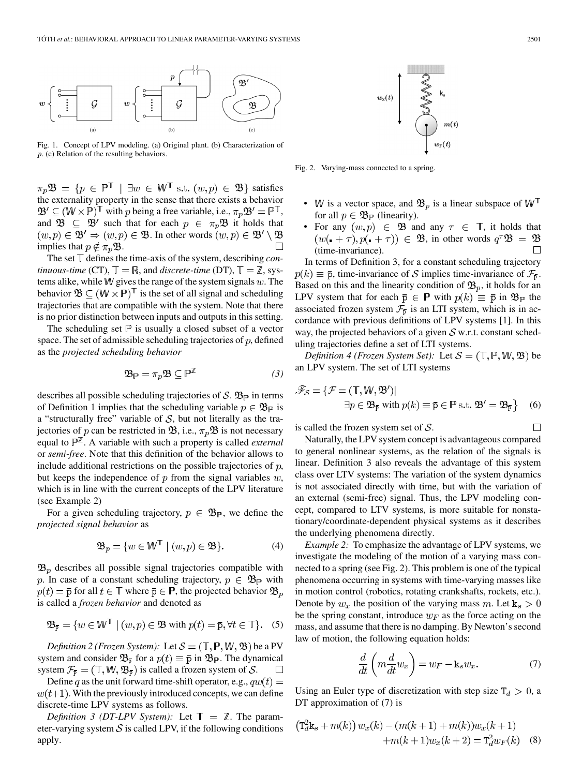

Fig. 1. Concept of LPV modeling. (a) Original plant. (b) Characterization of  $p$ . (c) Relation of the resulting behaviors.

 $\pi_p\mathfrak{B} \;=\; \{p\;\in\;\mathbb{P}^\top\;\mid\; \exists w\;\in\;\mathbb{W}^\mathbb{T}\;\text{s.t.}\;(w,p)\;\in\;\mathfrak{B}\} \text{ satisfies }$ the externality property in the sense that there exists a behavior  $\mathfrak{B}' \subseteq (\mathbb{W} \times \mathbb{P})^{\mathsf{T}}$  with p being a free variable, i.e.,  $\pi_p \mathfrak{B}' = \mathbb{P}^{\mathsf{T}}$ , and  $\mathfrak{B} \subseteq \mathfrak{B}'$  such that for each  $p \in \pi_p \mathfrak{B}$  it holds that  $(w, p) \in \mathfrak{B}' \Rightarrow (w, p) \in \mathfrak{B}$ . In other words  $(w, p) \in \mathfrak{B}' \setminus \mathfrak{B}$ implies that  $p \notin \pi_p \mathfrak{B}$ . П

The set  $\mathbb T$  defines the time-axis of the system, describing *continuous-time* (CT),  $\mathbb{T} = \mathbb{R}$ , and *discrete-time* (DT),  $\mathbb{T} = \mathbb{Z}$ , systems alike, while  $W$  gives the range of the system signals  $w$ . The behavior  $\mathfrak{B} \subseteq (\mathbb{W} \times \mathbb{P})^{\mathsf{T}}$  is the set of all signal and scheduling trajectories that are compatible with the system. Note that there is no prior distinction between inputs and outputs in this setting.

The scheduling set  $\mathbb P$  is usually a closed subset of a vector space. The set of admissible scheduling trajectories of  $p$ , defined as the *projected scheduling behavior*

$$
\mathfrak{B}_{\mathbb{P}} = \pi_p \mathfrak{B} \subseteq \mathbb{P}^{\mathbb{Z}} \tag{3}
$$

describes all possible scheduling trajectories of  $S$ .  $\mathfrak{B}_{\mathbb{P}}$  in terms of Definition 1 implies that the scheduling variable  $p \in \mathfrak{B}_{\mathbb{P}}$  is a "structurally free" variable of  $S$ , but not literally as the trajectories of p can be restricted in  $\mathfrak{B}$ , i.e.,  $\pi_p \mathfrak{B}$  is not necessary equal to  $\mathbb{P}^{\mathbb{Z}}$ . A variable with such a property is called *external* or *semi-free*. Note that this definition of the behavior allows to include additional restrictions on the possible trajectories of  $p$ , but keeps the independence of  $p$  from the signal variables  $w$ , which is in line with the current concepts of the LPV literature (see Example 2)

For a given scheduling trajectory,  $p \in \mathfrak{B}_{\mathbb{P}}$ , we define the *projected signal behavior* as

$$
\mathfrak{B}_p = \{ w \in \mathbb{W}^\top \mid (w, p) \in \mathfrak{B} \}. \tag{4}
$$

 $\mathfrak{B}_p$  describes all possible signal trajectories compatible with p. In case of a constant scheduling trajectory,  $p \in \mathfrak{B}_{\mathbb{P}}$  with  $p(t) = \bar{p}$  for all  $t \in \mathbb{T}$  where  $\bar{p} \in \mathbb{P}$ , the projected behavior  $\mathfrak{B}_p$ is called a *frozen behavior* and denoted as

$$
\mathfrak{B}_{\bar{\mathfrak{p}}} = \{ w \in \mathbb{W}^{\mathbb{T}} \mid (w, p) \in \mathfrak{B} \text{ with } p(t) = \bar{\mathfrak{p}}, \forall t \in \mathbb{T} \}. \tag{5}
$$

*Definition 2 (Frozen System):* Let  $S = (\mathbb{T}, \mathbb{P}, \mathbb{W}, \mathfrak{B})$  be a PV system and consider  $\mathfrak{B}_{\bar{\mathfrak{p}}}$  for a  $p(t) \equiv \bar{\mathfrak{p}}$  in  $\mathfrak{B}_{\mathbb{P}}$ . The dynamical system  $\mathcal{F}_{\bar{p}} = (\mathbb{T}, \mathbb{W}, \mathfrak{B}_{\bar{p}})$  is called a frozen system of S.  $\Box$ 

Define q as the unit forward time-shift operator, e.g.,  $qw(t) =$  $w(t+1)$ . With the previously introduced concepts, we can define discrete-time LPV systems as follows.

*Definition 3 (DT-LPV System):* Let  $\mathbb{T} = \mathbb{Z}$ . The parameter-varying system  $\mathcal S$  is called LPV, if the following conditions apply.



Fig. 2. Varying-mass connected to a spring.

- W is a vector space, and  $\mathfrak{B}_p$  is a linear subspace of  $W<sup>T</sup>$ for all  $p \in \mathfrak{B}_{\mathbb{P}}$  (linearity).
- For any  $(w, p) \in \mathfrak{B}$  and any  $\tau \in \mathbb{T}$ , it holds that  $(w(\cdot + \tau), p(\cdot + \tau)) \in \mathfrak{B}$ , in other words  $q^{\tau} \mathfrak{B} = \mathfrak{B}$ (time-invariance).  $\Box$

In terms of Definition 3, for a constant scheduling trajectory  $p(k) \equiv \bar{p}$ , time-invariance of S implies time-invariance of  $\mathcal{F}_{\bar{p}}$ . Based on this and the linearity condition of  $\mathfrak{B}_p$ , it holds for an LPV system that for each  $\bar{p} \in \mathbb{P}$  with  $p(k) \equiv \bar{p}$  in  $\mathfrak{B}_{\mathbb{P}}$  the associated frozen system  $\mathcal{F}_{\bar{p}}$  is an LTI system, which is in accordance with previous definitions of LPV systems [1]. In this way, the projected behaviors of a given  $S$  w.r.t. constant scheduling trajectories define a set of LTI systems.

*Definition 4 (Frozen System Set):* Let  $S = (\mathbb{T}, \mathbb{P}, \mathbb{W}, \mathfrak{B})$  be an LPV system. The set of LTI systems

$$
\mathcal{F}_{\mathcal{S}} = \{ \mathcal{F} = (\mathbb{T}, \mathbb{W}, \mathfrak{B}') | \n\exists p \in \mathfrak{B}_{\bar{p}} \text{ with } p(k) \equiv \bar{p} \in \mathbb{P} \text{ s.t. } \mathfrak{B}' = \mathfrak{B}_{\bar{p}} \}
$$
\n(6)

is called the frozen system set of  $S$ .

Naturally, the LPV system concept is advantageous compared to general nonlinear systems, as the relation of the signals is linear. Definition 3 also reveals the advantage of this system class over LTV systems: The variation of the system dynamics is not associated directly with time, but with the variation of an external (semi-free) signal. Thus, the LPV modeling concept, compared to LTV systems, is more suitable for nonstationary/coordinate-dependent physical systems as it describes the underlying phenomena directly.

*Example 2:* To emphasize the advantage of LPV systems, we investigate the modeling of the motion of a varying mass connected to a spring (see Fig. 2). This problem is one of the typical phenomena occurring in systems with time-varying masses like in motion control (robotics, rotating crankshafts, rockets, etc.). Denote by  $w_x$  the position of the varying mass m. Let  $k_s > 0$ be the spring constant, introduce  $w_F$  as the force acting on the mass, and assume that there is no damping. By Newton's second law of motion, the following equation holds:

$$
\frac{d}{dt}\left(m\frac{d}{dt}w_x\right) = w_F - \mathbf{k}_sw_x.
$$
\n(7)

Using an Euler type of discretization with step size  $T_d > 0$ , a DT approximation of  $(7)$  is

$$
(T_d^2 k_s + m(k)) w_x(k) - (m(k+1) + m(k))w_x(k+1)
$$
  
+m(k+1)w\_x(k+2) = T\_d^2 w\_F(k) (8)

 $\Box$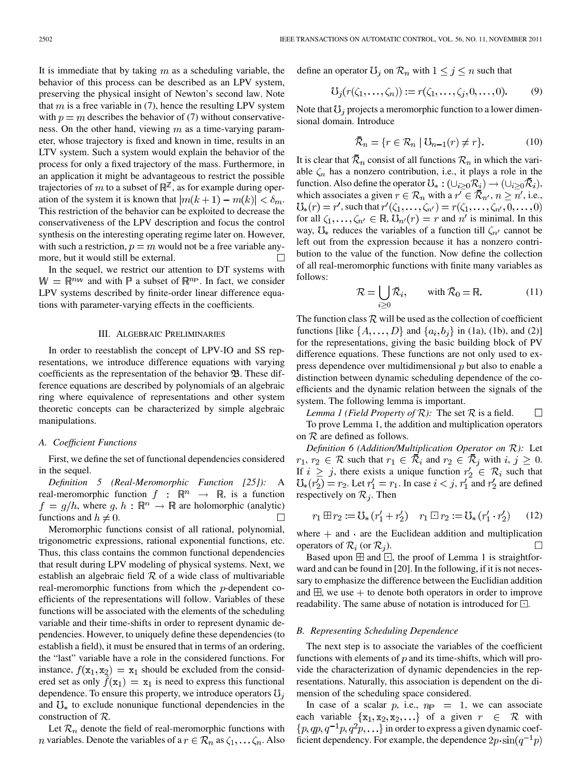It is immediate that by taking  $m$  as a scheduling variable, the behavior of this process can be described as an LPV system, preserving the physical insight of Newton's second law. Note that  $m$  is a free variable in (7), hence the resulting LPV system with  $p = m$  describes the behavior of (7) without conservativeness. On the other hand, viewing  $m$  as a time-varying parameter, whose trajectory is fixed and known in time, results in an LTV system. Such a system would explain the behavior of the process for only a fixed trajectory of the mass. Furthermore, in an application it might be advantageous to restrict the possible trajectories of m to a subset of  $\mathbb{R}^{\mathbb{Z}}$ , as for example during operation of the system it is known that  $|m(k+1) - m(k)| < \delta_m$ . This restriction of the behavior can be exploited to decrease the conservativeness of the LPV description and focus the control synthesis on the interesting operating regime later on. However, with such a restriction,  $p = m$  would not be a free variable anymore, but it would still be external. П

In the sequel, we restrict our attention to DT systems with  $\mathbb{W} = \mathbb{R}^{n_{\mathcal{W}}}$  and with  $\mathbb{P}$  a subset of  $\mathbb{R}^{n_{\mathcal{P}}}$ . In fact, we consider LPV systems described by finite-order linear difference equations with parameter-varying effects in the coefficients.

#### III. ALGEBRAIC PRELIMINARIES

In order to reestablish the concept of LPV-IO and SS representations, we introduce difference equations with varying coefficients as the representation of the behavior  $\mathfrak{B}$ . These difference equations are described by polynomials of an algebraic ring where equivalence of representations and other system theoretic concepts can be characterized by simple algebraic manipulations.

#### *A. Coefficient Functions*

First, we define the set of functional dependencies considered in the sequel.

*Definition 5 (Real-Meromorphic Function [25]):* A real-meromorphic function  $f : \mathbb{R}^n \to \mathbb{R}$ , is a function  $f = g/h$ , where  $g, h : \mathbb{R}^n \to \mathbb{R}$  are holomorphic (analytic) functions and  $h \neq 0$ .  $\Box$ 

Meromorphic functions consist of all rational, polynomial, trigonometric expressions, rational exponential functions, etc. Thus, this class contains the common functional dependencies that result during LPV modeling of physical systems. Next, we establish an algebraic field  $R$  of a wide class of multivariable real-meromorphic functions from which the  $p$ -dependent coefficients of the representations will follow. Variables of these functions will be associated with the elements of the scheduling variable and their time-shifts in order to represent dynamic dependencies. However, to uniquely define these dependencies (to establish a field), it must be ensured that in terms of an ordering, the "last" variable have a role in the considered functions. For instance,  $f(x_1, x_2) = x_1$  should be excluded from the considered set as only  $f(x_1) = x_1$  is need to express this functional dependence. To ensure this property, we introduce operators  $\mathcal{O}_i$ and  $U_*$  to exclude nonunique functional dependencies in the construction of  $\mathcal{R}$ .

Let  $\mathcal{R}_n$  denote the field of real-meromorphic functions with *n* variables. Denote the variables of a  $r \in \mathcal{R}_n$  as  $\zeta_1, \ldots, \zeta_n$ . Also define an operator  $\mathfrak{V}_i$  on  $\mathcal{R}_n$  with  $1 \leq j \leq n$  such that

$$
U_j(r(\zeta_1,\ldots,\zeta_n)) := r(\zeta_1,\ldots,\zeta_j,0,\ldots,0). \tag{9}
$$

Note that  $U_i$  projects a meromorphic function to a lower dimensional domain. Introduce

$$
\bar{\mathcal{R}}_n = \{ r \in \mathcal{R}_n \mid \mathcal{U}_{n-1}(r) \neq r \}. \tag{10}
$$

It is clear that  $\bar{\mathcal{R}}_n$  consist of all functions  $\mathcal{R}_n$  in which the variable  $\zeta_n$  has a nonzero contribution, i.e., it plays a role in the function. Also define the operator  $U_* : (\cup_{i>0} R_i) \to (\cup_{i>0} R_i)$ , which associates a given  $r \in \mathcal{R}_n$  with a  $r' \in \bar{\mathcal{R}}_{n'}$ ,  $n \geq n'$ , i.e.,  $U_*(r) = r'$ , such that  $r'(\zeta_1, ..., \zeta_{n'}) = r(\zeta_1, ..., \zeta_{n'}, 0, ..., 0)$ for all  $\zeta_1, \ldots, \zeta_{n'} \in \mathbb{R}, \mathcal{U}_{n'}(r) = r$  and  $n'$  is minimal. In this way,  $U_*$  reduces the variables of a function till  $\zeta_{n'}$  cannot be left out from the expression because it has a nonzero contribution to the value of the function. Now define the collection of all real-meromorphic functions with finite many variables as follows:

$$
\mathcal{R} = \bigcup_{i \ge 0} \bar{\mathcal{R}}_i, \qquad \text{with } \bar{\mathcal{R}}_0 = \mathbb{R}.
$$
 (11)

The function class  $\mathcal R$  will be used as the collection of coefficient functions [like  $\{A, \ldots, D\}$  and  $\{a_i, b_j\}$  in (1a), (1b), and (2)] for the representations, giving the basic building block of PV difference equations. These functions are not only used to express dependence over multidimensional  $p$  but also to enable a distinction between dynamic scheduling dependence of the coefficients and the dynamic relation between the signals of the system. The following lemma is important.

*Lemma 1 (Field Property of*  $R$ *):* The set  $R$  is a field.  $\Box$ 

To prove Lemma 1, the addition and multiplication operators on  $R$  are defined as follows.

*Definition 6 (Addition/Multiplication Operator on R):* Let  $r_1, r_2 \in \mathcal{R}$  such that  $r_1 \in \overline{\mathcal{R}}_i$  and  $r_2 \in \overline{\mathcal{R}}_i$  with  $i, j \geq 0$ . If  $i \geq j$ , there exists a unique function  $r'_2 \in \mathcal{R}_i$  such that  $U_*(r'_2) = r_2$ . Let  $r'_1 = r_1$ . In case  $i < j$ ,  $r'_1$  and  $r'_2$  are defined respectively on  $\mathcal{R}_j$ . Then

$$
r_1 \boxplus r_2 := \mathrm{U}_* \left( r_1' + r_2' \right) \quad r_1 \boxdot r_2 := \mathrm{U}_* \left( r_1' \cdot r_2' \right) \tag{12}
$$

where  $+$  and  $\cdot$  are the Euclidean addition and multiplication operators of  $\mathcal{R}_i$  (or  $\mathcal{R}_i$ ). П

Based upon  $\boxplus$  and  $\Box$ , the proof of Lemma 1 is straightforward and can be found in [20]. In the following, if it is not necessary to emphasize the difference between the Euclidian addition and  $\boxplus$ , we use  $+$  to denote both operators in order to improve readability. The same abuse of notation is introduced for  $\Box$ .

#### *B. Representing Scheduling Dependence*

The next step is to associate the variables of the coefficient functions with elements of  $p$  and its time-shifts, which will provide the characterization of dynamic dependencies in the representations. Naturally, this association is dependent on the dimension of the scheduling space considered.

In case of a scalar p, i.e.,  $n_{\mathbb{P}} = 1$ , we can associate each variable  $\{x_1, x_2, x_2, ...\}$  of a given  $r \in \mathcal{R}$  with  $\{p, qp, q^{-1}p, q^2p, \ldots\}$  in order to express a given dynamic coefficient dependency. For example, the dependence  $2p \cdot \sin(q^{-1}p)$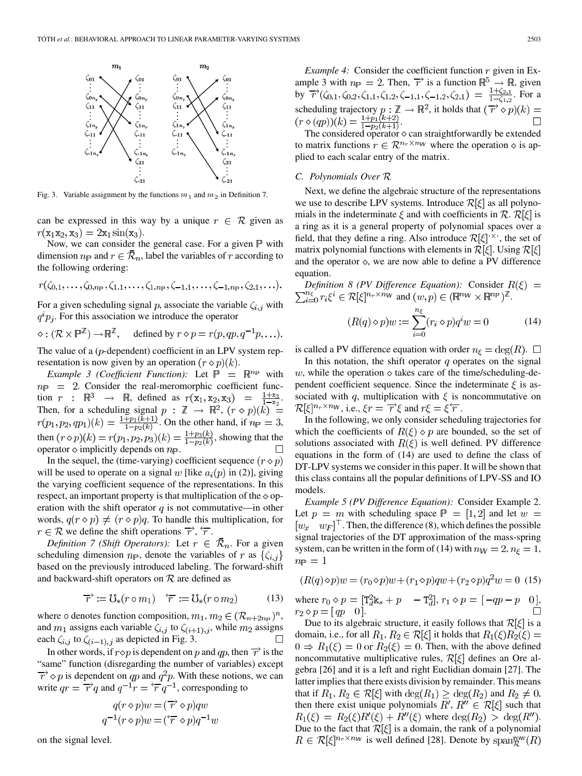

Fig. 3. Variable assignment by the functions  $m_1$  and  $m_2$  in Definition 7.

can be expressed in this way by a unique  $r \in \mathcal{R}$  given as  $r(x_1x_2, x_3) = 2x_1 \sin(x_3).$ 

Now, we can consider the general case. For a given  $\mathbb P$  with dimension  $n_P$  and  $r \in \mathcal{R}_n$ , label the variables of r according to the following ordering:

$$
r(\zeta_{0,1},\ldots,\zeta_{0,n_{\mathsf{P}}},\zeta_{1,1},\ldots,\zeta_{1,n_{\mathsf{P}}},\zeta_{-1,1},\ldots,\zeta_{-1,n_{\mathsf{P}}},\zeta_{2,1},\ldots).
$$

For a given scheduling signal p, associate the variable  $\zeta_{i,j}$  with  $q^{i}p_{i}$ . For this association we introduce the operator

$$
\diamond : (\mathcal{R} \times \mathbb{P}^{\mathbb{Z}}) \to \mathbb{R}^{\mathbb{Z}}, \quad \text{defined by } r \diamond p = r(p, qp, q^{-1}p, \ldots).
$$

The value of a  $(p$ -dependent) coefficient in an LPV system representation is now given by an operation  $(r \diamond p)(k)$ .

*Example 3 (Coefficient Function):* Let  $\mathbb{P} = \mathbb{R}^{n_{\mathbb{P}}}$  with  $n_{\rm P}$  = 2. Consider the real-meromorphic coefficient function  $r : \mathbb{R}^3 \to \mathbb{R}$ , defined as  $r(x_1, x_2, x_3) =$  $\frac{1+x_3}{1-x_2}$ . Then, for a scheduling signal  $p : \mathbb{Z} \to \mathbb{R}^2$ , . On the other hand, if  $n_P = 3$ , then  $(r \diamond p)(k) = r(p_1, p_2, p_3)(k) = \frac{1+p_3(k)}{1-p_2(k)}$ , showing that the operator  $\diamond$  implicitly depends on  $n_{\mathbb{P}}$ .

In the sequel, the (time-varying) coefficient sequence  $(r \diamond p)$ will be used to operate on a signal w [like  $a_i(p)$  in (2)], giving the varying coefficient sequence of the representations. In this respect, an important property is that multiplication of the  $\Diamond$  operation with the shift operator  $q$  is not commutative—in other words,  $q(r \diamond p) \neq (r \diamond p)q$ . To handle this multiplication, for  $r \in \mathcal{R}$  we define the shift operations  $\overrightarrow{r}$ ,  $\overleftarrow{r}$ .

*Definition 7 (Shift Operators):* Let  $r \in \overline{\mathcal{R}}_n$ . For a given scheduling dimension  $n_p$ , denote the variables of r as  $\{\zeta_{i,j}\}$ based on the previously introduced labeling. The forward-shift and backward-shift operators on  $R$  are defined as

$$
\overrightarrow{r} := \mathcal{O}_*(r \circ m_1) \quad \overleftarrow{r} := \mathcal{O}_*(r \circ m_2) \tag{13}
$$

where  $\circ$  denotes function composition,  $m_1, m_2 \in (\mathcal{R}_{n+2n_P})^n$ , and  $m_1$  assigns each variable  $\zeta_{i,j}$  to  $\zeta_{(i+1),j}$ , while  $m_2$  assigns each  $\zeta_{i,j}$  to  $\zeta_{(i-1),j}$  as depicted in Fig. 3.

In other words, if  $r \diamond p$  is dependent on p and qp, then  $\overrightarrow{r}$  is the "same" function (disregarding the number of variables) except  $\overrightarrow{r} \diamond p$  is dependent on qp and  $q^2p$ . With these notions, we can write  $qr = \overrightarrow{r}q$  and  $q^{-1}r = \overleftarrow{r}q^{-1}$ , corresponding to

$$
q(r \diamond p)w = (\overline{r'} \diamond p)qw
$$

$$
q^{-1}(r \diamond p)w = (\overline{r} \diamond p)q^{-1}w
$$

on the signal level.

*Example 4:* Consider the coefficient function  $r$  given in Example 3 with  $n_P = 2$ . Then,  $\overrightarrow{r}$  is a function  $\mathbb{R}^5 \to \mathbb{R}$ , given ample 5 with  $n_{\text{th}} = 2$ . First, the additional contract of  $\overrightarrow{r}(\zeta_{0,1}, \zeta_{0,2}, \zeta_{1,1}, \zeta_{1,2}, \zeta_{-1,1}, \zeta_{-1,2}, \zeta_{2,1}) = \frac{1+\zeta_{2,1}}{1-\zeta_{1,2}}$ . For a scheduling trajectory  $p : \mathbb{Z} \to \mathbb{R}^2$ , it holds that .

The considered operator  $\diamond$  can straightforwardly be extended to matrix functions  $r \in \mathcal{R}^{n_r \times n_W}$  where the operation  $\diamond$  is applied to each scalar entry of the matrix.

# *C. Polynomials Over*

Next, we define the algebraic structure of the representations we use to describe LPV systems. Introduce  $\mathcal{R}[\xi]$  as all polynomials in the indeterminate  $\xi$  and with coefficients in  $\mathcal{R} \times \mathcal{R}[\xi]$  is a ring as it is a general property of polynomial spaces over a field, that they define a ring. Also introduce  $\mathcal{R}[\xi]$ <sup>×</sup>, the set of matrix polynomial functions with elements in  $\mathcal{R}[\xi]$ . Using  $\mathcal{R}[\xi]$ and the operator  $\diamond$ , we are now able to define a PV difference equation.

*Definition* 8 *(PV Difference Equation):* Consider 
$$
R(\xi) = \sum_{i=0}^{n_{\xi}} r_i \xi^i \in \mathcal{R}[\xi]^{n_r \times n_W}
$$
 and  $(w, p) \in (\mathbb{R}^{n_W} \times \mathbb{R}^{n_P})^{\mathbb{Z}}$ .  
\n
$$
(R(q) \diamond p)w := \sum_{i=0}^{n_{\xi}} (r_i \diamond p)q^i w = 0
$$
 (14)

is called a PV difference equation with order  $n_{\xi} = \deg(R)$ .  $\Box$ 

In this notation, the shift operator  $q$  operates on the signal  $w$ , while the operation  $\diamond$  takes care of the time/scheduling-dependent coefficient sequence. Since the indeterminate  $\xi$  is associated with q, multiplication with  $\xi$  is noncommutative on  $\mathcal{R}[\xi]^{n_r \times n_W}$ , i.e.,  $\xi r = \overrightarrow{r} \xi$  and  $r\xi = \xi' \overrightarrow{r}$ .

In the following, we only consider scheduling trajectories for which the coefficients of  $R(\xi) \diamond p$  are bounded, so the set of solutions associated with  $R(\xi)$  is well defined. PV difference equations in the form of (14) are used to define the class of DT-LPV systems we consider in this paper. It will be shown that this class contains all the popular definitions of LPV-SS and IO models.

*Example 5 (PV Difference Equation):* Consider Example 2. Let  $p = m$  with scheduling space  $\mathbb{P} = [1,2]$  and let  $w =$  $[w_x \quad w_F]^\top$ . Then, the difference (8), which defines the possible signal trajectories of the DT approximation of the mass-spring system, can be written in the form of (14) with  $n_w = 2$ ,  $n_\xi = 1$ ,  $n_{\mathbb{P}}=1$ 

$$
(R(q) \diamond p)w = (r_0 \diamond p)w + (r_1 \diamond p)qw + (r_2 \diamond p)q^2w = 0
$$
 (15)

where  $r_0 \diamond p = [\mathbf{T}_d^2 \mathbf{k}_s + p - \mathbf{T}_d^2], r_1 \diamond p = [-qp - p \ 0],$ <br> $r_2 \diamond p = [qp \ 0]$  $r_2 \diamond p = [qp \quad 0].$ 

Due to its algebraic structure, it easily follows that  $\mathcal{R}[\xi]$  is a domain, i.e., for all  $R_1, R_2 \in \mathcal{R}[\xi]$  it holds that  $R_1(\xi)R_2(\xi)$  =  $0 \Rightarrow R_1(\xi) = 0$  or  $R_2(\xi) = 0$ . Then, with the above defined noncommutative multiplicative rules,  $\mathcal{R}[\xi]$  defines an Ore algebra [26] and it is a left and right Euclidian domain [27]. The latter implies that there exists division by remainder. This means that if  $R_1, R_2 \in \mathcal{R}[\xi]$  with  $\deg(R_1) \geq \deg(R_2)$  and  $R_2 \neq 0$ , then there exist unique polynomials  $R', R'' \in \mathcal{R}[\xi]$  such that  $R_1(\xi) = R_2(\xi)R'(\xi) + R''(\xi)$  where  $\deg(R_2) > \deg(R'')$ . Due to the fact that  $\mathcal{R}[\xi]$  is a domain, the rank of a polynomial  $R \in \mathcal{R}[\xi]^{n_r \times n_W}$  is well defined [28]. Denote by  $\text{span}_{\mathcal{R}}^{\text{row}}(R)$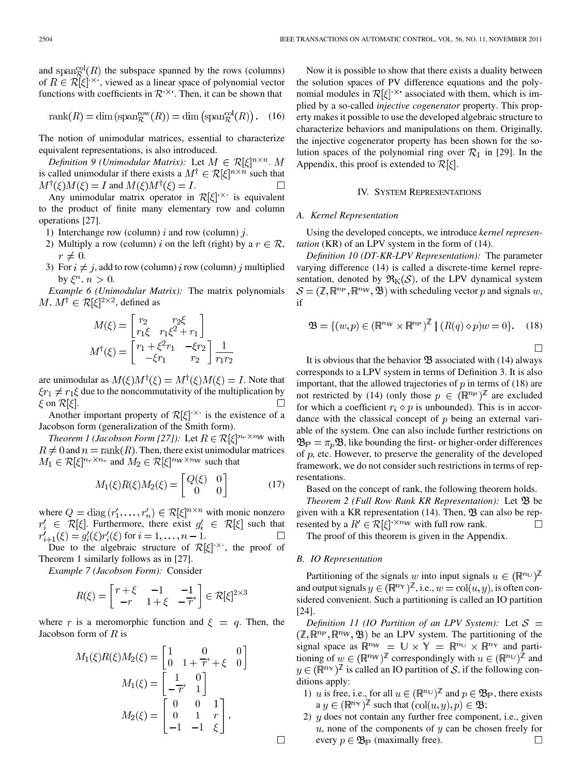and span $\mathcal{P}_{\mathcal{D}}^{\text{col}}(R)$  the subspace spanned by the rows (columns) of  $R \in \mathcal{R}[\xi]$ <sup>×</sup>, viewed as a linear space of polynomial vector functions with coefficients in  $\mathcal{R}^{\times}$ . Then, it can be shown that

$$
rank(R) = dim (span^{\text{row}}_{\mathcal{R}}(R)) = dim (span^{\text{col}}_{\mathcal{R}}(R)).
$$
 (16)

The notion of unimodular matrices, essential to characterize equivalent representations, is also introduced.

*Definition 9 (Unimodular Matrix):* Let  $M \in \mathcal{R}[\xi]^{n \times n}$ . M is called unimodular if there exists a  $M^{\dagger} \in \mathcal{R}[\xi]^{n \times n}$  such that  $M^{\dagger}(\xi)M(\xi) = I$  and  $M(\xi)M^{\dagger}(\xi) = I$ .

Any unimodular matrix operator in  $\mathcal{R}[\xi] \times$  is equivalent to the product of finite many elementary row and column operations [27].

- 1) Interchange row (column) i and row (column)  $i$ .
- 2) Multiply a row (column) i on the left (right) by a  $r \in \mathcal{R}$ ,  $r\neq 0$ .
- 3) For  $i \neq j$ , add to row (column) i row (column) j multiplied by  $\xi^n$ ,  $n > 0$ .

*Example 6 (Unimodular Matrix):* The matrix polynomials  $M, M^{\dagger} \in \mathcal{R}[\xi]^{2 \times 2}$ , defined as

$$
M(\xi) = \begin{bmatrix} r_2 & r_2 \xi \\ r_1 \xi & r_1 \xi^2 + r_1 \end{bmatrix}
$$

$$
M^{\dagger}(\xi) = \begin{bmatrix} r_1 + \xi^2 r_1 & -\xi r_2 \\ -\xi r_1 & r_2 \end{bmatrix} \frac{1}{r_1 r_2}
$$

are unimodular as  $M(\xi)M^{\dagger}(\xi) = M^{\dagger}(\xi)M(\xi) = I$ . Note that  $\xi r_1 \neq r_1 \xi$  due to the noncommutativity of the multiplication by  $\xi$  on  $\mathcal{R}[\xi]$ .  $\Box$ 

Another important property of  $\mathcal{R}[\xi] \times$  is the existence of a Jacobson form (generalization of the Smith form).

*Theorem 1 (Jacobson Form [27]):* Let  $R \in \mathcal{R}[\xi]^{n_r \times n_W}$  with  $R \neq 0$  and  $n = \text{rank}(R)$ . Then, there exist unimodular matrices  $M_1 \in \mathcal{R}[\xi]^{n_r \times n_r}$  and  $M_2 \in \mathcal{R}[\xi]^{n_W \times n_W}$  such that

$$
M_1(\xi)R(\xi)M_2(\xi) = \begin{bmatrix} Q(\xi) & 0\\ 0 & 0 \end{bmatrix}
$$
 (17)

where  $Q = \text{diag}(r'_1, \dots, r'_n) \in \mathcal{R}[\xi]^{n \times n}$  with monic nonzero  $r'_i \in \mathcal{R}[\xi]$ . Furthermore, there exist  $g'_i \in \mathcal{R}[\xi]$  such that  $r'_{i+1}(\xi) = g'_{i}(\xi) r'_{i}(\xi)$  for  $i = 1, ..., n-1$ . Due to the algebraic structure of  $\mathcal{R}[\xi] \times$ , the proof of

Theorem 1 similarly follows as in [27].

*Example 7 (Jacobson Form):* Consider

$$
R(\xi) = \begin{bmatrix} r+\xi & -1 & -1 \\ -r & 1+\xi & -\overline{r} \end{bmatrix} \in \mathcal{R}[\xi]^{2\times 3}
$$

where r is a meromorphic function and  $\xi = q$ . Then, the Jacobson form of  $R$  is

$$
M_1(\xi)R(\xi)M_2(\xi) = \begin{bmatrix} 1 & 0 & 0 \\ 0 & 1 + \overline{r'} + \xi & 0 \end{bmatrix}
$$

$$
M_1(\xi) = \begin{bmatrix} 1 & 0 \\ -\overline{r'} & 1 \end{bmatrix}
$$

$$
M_2(\xi) = \begin{bmatrix} 0 & 0 & 1 \\ 0 & 1 & r \\ -1 & -1 & \xi \end{bmatrix}.
$$

Now it is possible to show that there exists a duality between the solution spaces of PV difference equations and the polynomial modules in  $\mathcal{R}[\xi]$ <sup>×</sup> associated with them, which is implied by a so-called *injective cogenerator* property. This property makes it possible to use the developed algebraic structure to characterize behaviors and manipulations on them. Originally, the injective cogenerator property has been shown for the solution spaces of the polynomial ring over  $\mathcal{R}_1$  in [29]. In the Appendix, this proof is extended to  $\mathcal{R}[\xi]$ .

#### IV. SYSTEM REPRESENTATIONS

# *A. Kernel Representation*

Using the developed concepts, we introduce *kernel representation* (KR) of an LPV system in the form of (14).

*Definition 10 (DT-KR-LPV Representation):* The parameter varying difference (14) is called a discrete-time kernel representation, denoted by  $\mathfrak{R}_{K}(\mathcal{S})$ , of the LPV dynamical system  $\mathcal{S} = (\mathbb{Z}, \mathbb{R}^{n_{\text{P}}}, \mathbb{R}^{n_{\text{W}}} , \mathfrak{B})$  with scheduling vector p and signals w, if

$$
\mathfrak{B} = \{(w, p) \in (\mathbb{R}^{n_W} \times \mathbb{R}^{n_P})^{\mathbb{Z}} \mid (R(q) \diamond p)w = 0\}.
$$
 (18)

П

It is obvious that the behavior  $\mathfrak B$  associated with (14) always corresponds to a LPV system in terms of Definition 3. It is also important, that the allowed trajectories of  $p$  in terms of (18) are not restricted by (14) (only those  $p \in (\mathbb{R}^{n_{\text{P}}})^{\mathbb{Z}}$  are excluded for which a coefficient  $r_i \diamond p$  is unbounded). This is in accordance with the classical concept of  $p$  being an external variable of the system. One can also include further restrictions on  $\mathfrak{B}_{\mathbb{P}} = \pi_{v} \mathfrak{B}$ , like bounding the first- or higher-order differences of  $p$ , etc. However, to preserve the generality of the developed framework, we do not consider such restrictions in terms of representations.

Based on the concept of rank, the following theorem holds.

*Theorem 2 (Full Row Rank KR Representation):* Let  $\mathfrak B$  be given with a KR representation (14). Then,  $\mathfrak B$  can also be represented by a  $R' \in \mathcal{R}[\xi] \times n_w$  with full row rank. П

The proof of this theorem is given in the Appendix.

### *B. IO Representation*

 $\Box$ 

Partitioning of the signals w into input signals  $u \in (\mathbb{R}^{n_{\cup}})^{\mathbb{Z}}$ and output signals  $y \in (\mathbb{R}^{n_{\mathcal{Y}}})^{\mathbb{Z}}$ , i.e.,  $w = \text{col}(u, y)$ , is often considered convenient. Such a partitioning is called an IO partition [24].

*Definition 11 (IO Partition of an LPV System):* Let  $S =$  $(\mathbb{Z}, \mathbb{R}^{n_{\text{P}}}, \mathbb{R}^{n_{\text{W}}}, \mathfrak{B})$  be an LPV system. The partitioning of the signal space as  $\mathbb{R}^{n_W} = \mathbb{U} \times \mathbb{Y} = \mathbb{R}^{n_V} \times \mathbb{R}^{n_V}$  and partitioning of  $w \in (\mathbb{R}^{n \vee})^{\mathbb{Z}}$  correspondingly with  $u \in (\mathbb{R}^{n \cup})^{\mathbb{Z}}$  and  $y \in (\mathbb{R}^{n_{\mathcal{Y}}})^{\mathbb{Z}}$  is called an IO partition of S, if the following conditions apply:

- 1) u is free, i.e., for all  $u \in (\mathbb{R}^{n_{\cup}})^{\mathbb{Z}}$  and  $p \in \mathfrak{B}_{\mathbb{P}}$ , there exists a  $y \in (\mathbb{R}^{n_{\mathbf{Y}}})^{\mathbb{Z}}$  such that  $(\text{col}(u, y), p) \in \mathfrak{B}$ ;
- 2)  $y$  does not contain any further free component, i.e., given  $u$ , none of the components of  $y$  can be chosen freely for every  $p \in \mathfrak{B}_{\mathbb{P}}$  (maximally free).  $\Box$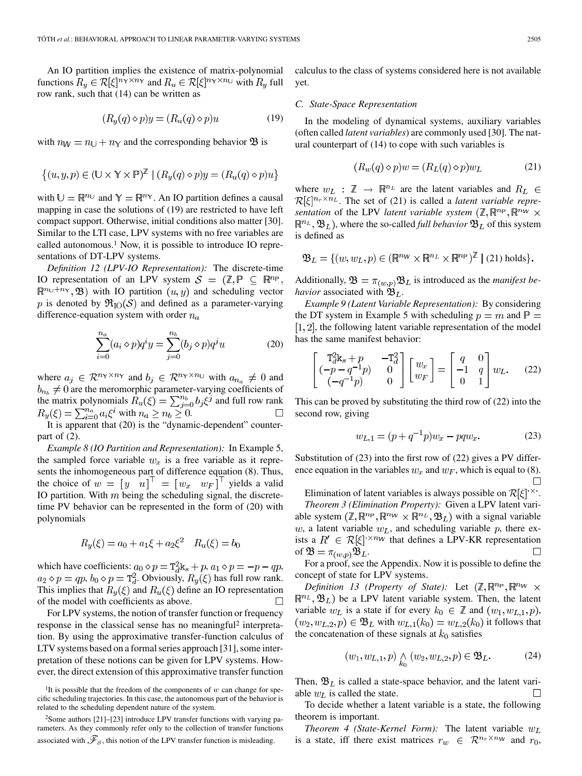An IO partition implies the existence of matrix-polynomial functions  $R_y \in \mathcal{R}[\xi]^{n_\mathcal{Y} \times n_\mathcal{Y}}$  and  $R_u \in \mathcal{R}[\xi]^{n_\mathcal{Y} \times n_\mathcal{U}}$  with  $R_y$  full row rank, such that (14) can be written as

$$
(R_y(q)\diamond p)y = (R_u(q)\diamond p)u \tag{19}
$$

with  $n_W = n_U + n_Y$  and the corresponding behavior  $\mathfrak{B}$  is

$$
\{(u, y, p) \in (\mathbb{U} \times \mathbb{Y} \times \mathbb{P})^{\mathbb{Z}} \mid (R_y(q) \diamond p)y = (R_u(q) \diamond p)u\}
$$

with  $\mathbb{U} = \mathbb{R}^{n_{\mathbb{U}}}$  and  $\mathbb{Y} = \mathbb{R}^{n_{\mathbb{Y}}}$ . An IO partition defines a causal mapping in case the solutions of (19) are restricted to have left compact support. Otherwise, initial conditions also matter [30]. Similar to the LTI case, LPV systems with no free variables are called autonomous.1 Now, it is possible to introduce IO representations of DT-LPV systems.

*Definition 12 (LPV-IO Representation):* The discrete-time IO representation of an LPV system  $S = (\mathbb{Z}, \mathbb{P} \subseteq \mathbb{R}^{n_{\mathbb{P}}},$  $\mathbb{R}^{n\cup+n\gamma},\mathfrak{B}$  with IO partition  $(u,y)$  and scheduling vector p is denoted by  $\mathfrak{R}_{\text{IO}}(\mathcal{S})$  and defined as a parameter-varying difference-equation system with order  $n_a$ 

$$
\sum_{i=0}^{n_a} (a_i \diamond p) q^i y = \sum_{j=0}^{n_b} (b_j \diamond p) q^j u \tag{20}
$$

where  $a_j \in \mathcal{R}^{n_{\mathbf{Y}} \times n_{\mathbf{Y}}}$  and  $b_j \in \mathcal{R}^{n_{\mathbf{Y}} \times n_{\mathbf{U}}}$  with  $a_{n_a} \neq 0$  and  $b_{n_k} \neq 0$  are the meromorphic parameter-varying coefficients of the matrix polynomials  $R_u(\xi) = \sum_{j=0}^{n_b} b_j \xi^j$  and full row rank  $R_y(\xi) = \sum_{i=0}^{n_a} a_i \xi^i$  with  $n_a \ge n_b \ge 0$ .  $\Box$ 

It is apparent that (20) is the "dynamic-dependent" counterpart of (2).

*Example 8 (IO Partition and Representation):* In Example 5, the sampled force variable  $w_x$  is a free variable as it represents the inhomogeneous part of difference equation (8). Thus, the choice of  $w = [y \ u]^{\perp} = [w_x \ w_F]^{\perp}$  yields a valid IO partition. With  $m$  being the scheduling signal, the discretetime PV behavior can be represented in the form of (20) with polynomials

$$
R_y(\xi) = a_0 + a_1 \xi + a_2 \xi^2 \quad R_u(\xi) = b_0
$$

which have coefficients:  $a_0 \diamond p = \mathbb{T}_d^2 \mathbb{k}_s + p$ ,  $a_1 \diamond p = -p - qp$ ,  $a_2 \diamond p = qp, b_0 \diamond p = T_d^2$ . Obviously,  $R_y(\xi)$  has full row rank. This implies that  $R_y(\xi)$  and  $R_u(\xi)$  define an IO representation of the model with coefficients as above.  $\Box$ 

For LPV systems, the notion of transfer function or frequency response in the classical sense has no meaningful2 interpretation. By using the approximative transfer-function calculus of LTV systems based on a formal series approach [31], some interpretation of these notions can be given for LPV systems. However, the direct extension of this approximative transfer function

<sup>1</sup>It is possible that the freedom of the components of  $w$  can change for specific scheduling trajectories. In this case, the autonomous part of the behavior is related to the scheduling dependent nature of the system.

2Some authors [21]–[23] introduce LPV transfer functions with varying parameters. As they commonly refer only to the collection of transfer functions associated with  $\mathscr{F}_{\mathcal{S}}$ , this notion of the LPV transfer function is misleading.

calculus to the class of systems considered here is not available yet.

#### *C. State-Space Representation*

In the modeling of dynamical systems, auxiliary variables (often called *latent variables*) are commonly used [30]. The natural counterpart of (14) to cope with such variables is

$$
(R_w(q) \diamond p)w = (R_L(q) \diamond p)w_L \tag{21}
$$

where  $w_L$  :  $\mathbb{Z} \rightarrow \mathbb{R}^{n_L}$  are the latent variables and  $R_L \in$  $\mathcal{R}[\xi]^{n_r \times n_L}$ . The set of (21) is called a *latent variable representation* of the LPV *latent variable system*  $(\mathbb{Z}, \mathbb{R}^{n_{\mathbb{P}}}, \mathbb{R}^{n_{\mathbb{W}}} \times$  $\mathbb{R}^{n_L}, \mathfrak{B}_L$ ), where the so-called *full behavior*  $\mathfrak{B}_L$  of this system is defined as

$$
\mathfrak{B}_L = \{ (w, w_L, p) \in (\mathbb{R}^{n_W} \times \mathbb{R}^{n_L} \times \mathbb{R}^{n_P})^{\mathbb{Z}} \mid (21) \text{ holds} \}.
$$

Additionally,  $\mathfrak{B} = \pi_{(w,p)} \mathfrak{B}_L$  is introduced as the *manifest behavior* associated with  $\mathfrak{B}_{L}$ .

*Example 9 (Latent Variable Representation):* By considering the DT system in Example 5 with scheduling  $p = m$  and  $P =$  $[1, 2]$ , the following latent variable representation of the model has the same manifest behavior:

$$
\begin{bmatrix}\nT_d^2 \mathbf{k}_s + p & -\mathbf{T}_d^2 \\
(-p - q^{-1}p) & 0 \\
(-q^{-1}p) & 0\n\end{bmatrix}\n\begin{bmatrix}\nw_x \\
w_F\n\end{bmatrix} = \begin{bmatrix}\nq & 0 \\
-1 & q \\
0 & 1\n\end{bmatrix} w_L.
$$
\n(22)

This can be proved by substituting the third row of (22) into the second row, giving

$$
w_{L,1} = (p + q^{-1}p)w_x - pqw_x.
$$
 (23)

Substitution of (23) into the first row of (22) gives a PV difference equation in the variables  $w_x$  and  $w_y$ , which is equal to (8).  $\Box$ 

Elimination of latent variables is always possible on  $\mathcal{R}[\xi] \times$ .

*Theorem 3 (Elimination Property):* Given a LPV latent variable system  $(\mathbb{Z}, \mathbb{R}^{n_{\text{P}}}, \mathbb{R}^{n_{\text{W}}} \times \mathbb{R}^{n_{\text{L}}}, \mathfrak{B}_L)$  with a signal variable  $w$ , a latent variable  $w<sub>L</sub>$ , and scheduling variable  $p$ , there exists a  $R' \in \mathcal{R}[\xi] \cdot \times^n w$  that defines a LPV-KR representation of  $\mathfrak{B} = \pi_{(w,p)} \mathfrak{B}_L$ .  $\Box$ 

For a proof, see the Appendix. Now it is possible to define the concept of state for LPV systems.

*Definition 13 (Property of State):* Let  $(\mathbb{Z}, \mathbb{R}^{n_{\mathbb{P}}}, \mathbb{R}^{n_{\mathbb{W}}} \times$  $\mathbb{R}^{n_L}, \mathfrak{B}_L$ ) be a LPV latent variable system. Then, the latent variable  $w_L$  is a state if for every  $k_0 \in \mathbb{Z}$  and  $(w_1, w_{L,1}, p)$ ,  $(w_2, w_{L,2}, p) \in \mathfrak{B}_L$  with  $w_{L,1}(k_0) = w_{L,2}(k_0)$  it follows that the concatenation of these signals at  $k_0$  satisfies

$$
(w_1, w_{L,1}, p) \underset{k_0}{\wedge} (w_2, w_{L,2}, p) \in \mathfrak{B}_L. \tag{24}
$$

Then,  $\mathfrak{B}_L$  is called a state-space behavior, and the latent variable  $w_L$  is called the state. П

To decide whether a latent variable is a state, the following theorem is important.

*Theorem 4 (State-Kernel Form):* The latent variable  $w_L$ is a state, iff there exist matrices  $r_w \in \mathbb{R}^{n_r \times n_w}$  and  $r_0$ ,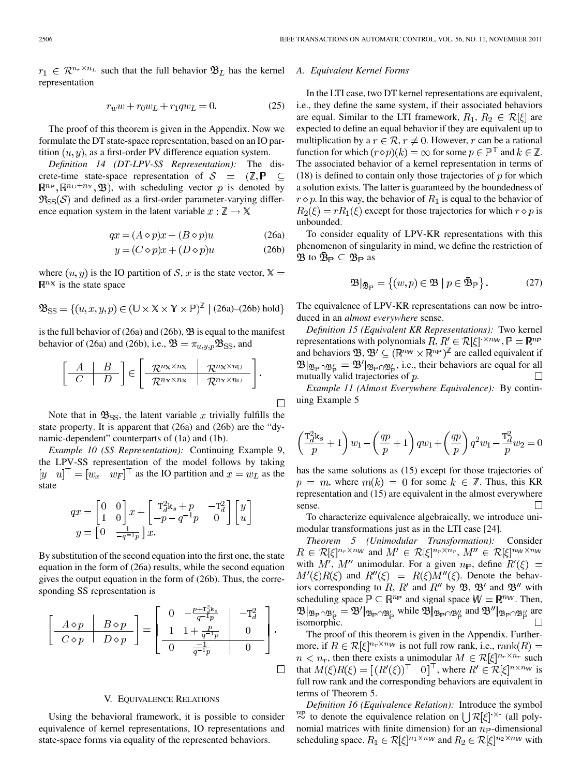such that the full behavior  $\mathfrak{B}_L$  has the kernel A. Equivalent Kernel Forms representation

$$
r_w w + r_0 w_L + r_1 q w_L = 0.
$$
 (25)

The proof of this theorem is given in the Appendix. Now we formulate the DT state-space representation, based on an IO partition  $(u, y)$ , as a first-order PV difference equation system.

*Definition 14 (DT-LPV-SS Representation):* The discrete-time state-space representation of  $S = (\mathbb{Z}, \mathbb{P})$  $\subset$  $\mathbb{R}^{n_p}, \mathbb{R}^{n_v+n_v}, \mathfrak{B}$ , with scheduling vector p is denoted by  $\mathfrak{R}_{\rm SS}(\mathcal{S})$  and defined as a first-order parameter-varying difference equation system in the latent variable  $x : \mathbb{Z} \to \mathbb{X}$ 

$$
qx = (A \diamond p)x + (B \diamond p)u \tag{26a}
$$

$$
y = (C \diamond p)x + (D \diamond p)u \tag{26b}
$$

 $\Box$ 

where  $(u, y)$  is the IO partition of S, x is the state vector,  $X =$  $\mathbb{R}^{n_{\times}}$  is the state space

$$
\mathfrak{B}_{\rm SS} = \{(u, x, y, p) \in (\mathbb{U} \times \mathbb{X} \times \mathbb{Y} \times \mathbb{P})^{\mathbb{Z}} \mid (26a) - (26b) \text{ hold}\}
$$

is the full behavior of (26a) and (26b),  $\mathfrak B$  is equal to the manifest behavior of (26a) and (26b), i.e.,  $\mathfrak{B} = \pi_{u,y,p} \mathfrak{B}_{SS}$ , and

$$
\left[\begin{array}{c|c} A & B \\ \hline C & D \end{array}\right] \in \left[\begin{array}{c|c} \mathcal{R}^{n \times n \times n} & \mathcal{R}^{n \times \times n \cup} \\ \hline \mathcal{R}^{n \times n \times n} & \mathcal{R}^{n \times \times n \cup} \end{array}\right].
$$

Note that in  $\mathfrak{B}_{SS}$ , the latent variable x trivially fulfills the state property. It is apparent that (26a) and (26b) are the "dynamic-dependent" counterparts of (1a) and (1b).

*Example 10 (SS Representation):* Continuing Example 9, the LPV-SS representation of the model follows by taking  $\begin{bmatrix} y & u \end{bmatrix}^{\top} = \begin{bmatrix} w_x & w_F \end{bmatrix}^{\top}$  as the IO partition and  $x = w_L$  as the state

$$
qx = \begin{bmatrix} 0 & 0 \\ 1 & 0 \end{bmatrix} x + \begin{bmatrix} T_d^2 \mathbf{k}_s + p & -T_d^2 \\ -p - q^{-1}p & 0 \end{bmatrix} \begin{bmatrix} y \\ u \end{bmatrix}
$$

$$
y = \begin{bmatrix} 0 & \frac{1}{-q^{-1}p} \end{bmatrix} x.
$$

By substitution of the second equation into the first one, the state equation in the form of (26a) results, while the second equation gives the output equation in the form of (26b). Thus, the corresponding SS representation is

$$
\left[\begin{array}{c|c} A \diamond p & B \diamond p \\ \hline C \diamond p & D \diamond p \end{array}\right] = \left[\begin{array}{c|c} 0 & -\frac{p+T_d^2 k_s}{q^{-1}p} & -T_d^2 \\ \hline 1 & 1 + \frac{p}{q^{-1}p} & 0 \\ \hline 0 & \frac{-1}{q^{-1}p} & 0 \end{array}\right].
$$

#### V. EQUIVALENCE RELATIONS

Using the behavioral framework, it is possible to consider equivalence of kernel representations, IO representations and state-space forms via equality of the represented behaviors.

In the LTI case, two DT kernel representations are equivalent, i.e., they define the same system, if their associated behaviors are equal. Similar to the LTI framework,  $R_1, R_2 \in \mathcal{R}[\xi]$  are expected to define an equal behavior if they are equivalent up to multiplication by a  $r \in \mathcal{R}$ ,  $r \neq 0$ . However, r can be a rational function for which  $(r \diamond p)(k) = \infty$  for some  $p \in \mathbb{P}^{\mathsf{T}}$  and  $k \in \mathbb{Z}$ . The associated behavior of a kernel representation in terms of (18) is defined to contain only those trajectories of  $p$  for which a solution exists. The latter is guaranteed by the boundedness of  $r \diamond p$ . In this way, the behavior of  $R_1$  is equal to the behavior of  $R_2(\xi) = rR_1(\xi)$  except for those trajectories for which  $r \diamond p$  is unbounded.

To consider equality of LPV-KR representations with this phenomenon of singularity in mind, we define the restriction of  $\mathfrak{B}$  to  $\bar{\mathfrak{B}}_{\mathbb{P}} \subseteq \mathfrak{B}_{\mathbb{P}}$  as

$$
\mathfrak{B}|_{\bar{\mathfrak{B}}_{\mathbb{P}}} = \{(w, p) \in \mathfrak{B} \mid p \in \bar{\mathfrak{B}}_{\mathbb{P}}\}.
$$
 (27)

The equivalence of LPV-KR representations can now be introduced in an *almost everywhere* sense.

*Definition 15 (Equivalent KR Representations):* Two kernel representations with polynomials  $R, R' \in \mathcal{R}[\xi] \times \{nw, \mathbb{P} = \mathbb{R}^{n_{\mathbb{P}}}$ and behaviors  $\mathfrak{B}, \mathfrak{B}' \subseteq (\mathbb{R}^{n_W} \times \mathbb{R}^{n_P})^{\mathbb{Z}}$  are called equivalent if  $\mathfrak{B}|_{\mathfrak{B}_{\mathbb{P}}\cap\mathfrak{B}'_{\mathbb{P}}}= \mathfrak{B}'|_{\mathfrak{B}_{\mathbb{P}}\cap\mathfrak{B}'_{\mathbb{P}}},$  i.e., their behaviors are equal for all mutually valid trajectories of  $p$ . П

*Example 11 (Almost Everywhere Equivalence):* By continuing Example 5

$$
\left(\frac{T_d^2 k_s}{p} + 1\right) w_1 - \left(\frac{qp}{p} + 1\right) q w_1 + \left(\frac{qp}{p}\right) q^2 w_1 - \frac{T_d^2}{p} w_2 = 0
$$

has the same solutions as (15) except for those trajectories of  $p = m$ , where  $m(k) = 0$  for some  $k \in \mathbb{Z}$ . Thus, this KR representation and (15) are equivalent in the almost everywhere sense.  $\Box$ 

To characterize equivalence algebraically, we introduce unimodular transformations just as in the LTI case [24].

*Theorem 5 (Unimodular Transformation):* Consider  $R \in \mathcal{R}[\xi]^{n_r \times n_W}$  and  $M' \in \mathcal{R}[\xi]^{n_r \times n_r}$ ,  $M'' \in \mathcal{R}[\xi]^{n_W \times n_W}$ with M', M'' unimodular. For a given  $n_P$ , define  $R'(\xi)$  =  $M'(\xi)R(\xi)$  and  $R''(\xi) = R(\xi)M''(\xi)$ . Denote the behaviors corresponding to R, R' and R'' by  $\mathfrak{B}, \mathfrak{B}'$  and  $\mathfrak{B}''$  with scheduling space  $\mathbb{P} \subseteq \mathbb{R}^{n_{\mathbb{P}}}$  and signal space  $\mathbb{W} = \mathbb{R}^{n_{\mathbb{W}}}$ . Then,  $\mathfrak{B}|_{\mathfrak{B}_{\mathbb{P}} \cap \mathfrak{B}'_{\mathbb{P}}} = \mathfrak{B}'|_{\mathfrak{B}_{\mathbb{P}} \cap \mathfrak{B}'_{\mathbb{P}}}$  while  $\mathfrak{B}|_{\mathfrak{B}_{\mathbb{P}} \cap \mathfrak{B}''_{\mathbb{P}}}$  and  $\mathfrak{B}''|_{\mathfrak{B}_{\mathbb{P}} \cap \mathfrak{B}''_{\mathbb{P}}}$  are isomorphic. П

The proof of this theorem is given in the Appendix. Furthermore, if  $R \in \mathcal{R}[\xi]^{n_r \times n_W}$  is not full row rank, i.e., rank $(R)$  =  $n < n_r$ , then there exists a unimodular  $M \in \mathcal{R}[\xi]^{n_r \times n_r}$  such that  $M(\xi)R(\xi) = [(R'(\xi))^{\top} \ 0]^{\top}$ , where  $R' \in \mathcal{R}[\xi]^{n \times n_W}$  is full row rank and the corresponding behaviors are equivalent in terms of Theorem 5.

*Definition 16 (Equivalence Relation):* Introduce the symbol  $\stackrel{n_{\text{P}}}{\sim}$  to denote the equivalence relation on  $\bigcup \mathcal{R}[\xi] \times$  (all polynomial matrices with finite dimension) for an  $n_{\text{P}}$ -dimensional scheduling space.  $R_1 \in \mathcal{R}[\xi]^{n_1 \times n_W}$  and  $R_2 \in \mathcal{R}[\xi]^{n_2 \times n_W}$  with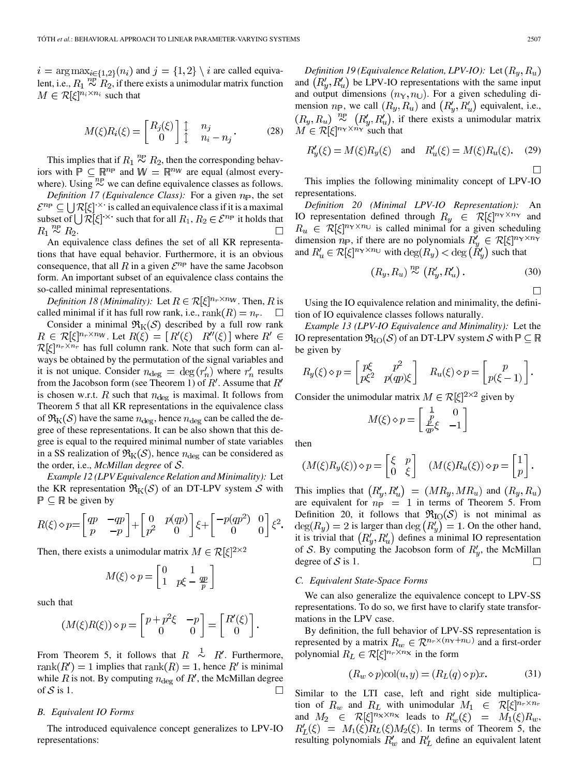$i = \arg \max_{i \in \{1,2\}} (n_i)$  and  $j = \{1,2\} \setminus i$  are called equivalent, i.e.,  $R_1 \stackrel{n_P}{\sim} R_2$ , if there exists a unimodular matrix function  $M \in \mathcal{R}[\xi]^{n_i \times n_i}$  such that

$$
M(\xi)R_i(\xi) = \begin{bmatrix} R_j(\xi) \\ 0 \end{bmatrix} \begin{bmatrix} 1 & n_j \\ 1 & n_i - n_j \end{bmatrix}.
$$
 (28)

This implies that if  $R_1 \stackrel{n_{\text{P}}}{\sim} R_2$ , then the corresponding behaviors with  $\mathbb{P} \subseteq \mathbb{R}^{n_{\mathbb{P}}}$  and  $\mathbb{W} = \mathbb{R}^{n_{\mathbb{W}}}$  are equal (almost everywhere). Using  $\stackrel{n_{\text{F}}}{\sim}$  we can define equivalence classes as follows.

*Definition 17 (Equivalence Class):* For a given  $n_p$ , the set  $\mathcal{E}^{n_{\text{P}}} \subseteq \bigcup \mathcal{R}[\xi] \times$  is called an equivalence class if it is a maximal subset of  $\bigcup \mathcal{R}[\xi]^{K}$  such that for all  $R_1, R_2 \in \mathcal{E}^{n_{\text{P}}}$  it holds that  $R_1 \stackrel{\prime\prime\prime\prime}{\sim} R_2.$  $\Box$ 

An equivalence class defines the set of all KR representations that have equal behavior. Furthermore, it is an obvious consequence, that all R in a given  $\mathcal{E}^{n_{\rm P}}$  have the same Jacobson form. An important subset of an equivalence class contains the so-called minimal representations.

*Definition 18 (Minimality):* Let  $R \in \mathcal{R}[\xi]^{n_r \times n_W}$ . Then, R is called minimal if it has full row rank, i.e.,  $rank(R) = n_r$ .  $\Box$ Consider a minimal  $\mathfrak{R}_{K}(\mathcal{S})$  described by a full row rank  $R \in \mathcal{R}[\xi]^{n_r \times n_W}$ . Let  $R(\xi) = [R'(\xi) \ R''(\xi)]$  where  $R' \in$  $\mathcal{R}[\xi]^{n_r \times n_r}$  has full column rank. Note that such form can always be obtained by the permutation of the signal variables and it is not unique. Consider  $n_{\text{deg}} = \text{deg}(r'_n)$  where  $r'_n$  results from the Jacobson form (see Theorem 1) of  $R'$ . Assume that  $R'$ is chosen w.r.t. R such that  $n_{\text{deg}}$  is maximal. It follows from Theorem 5 that all KR representations in the equivalence class of  $\mathfrak{R}_{K}(\mathcal{S})$  have the same  $n_{\text{deg}}$ , hence  $n_{\text{deg}}$  can be called the degree of these representations. It can be also shown that this degree is equal to the required minimal number of state variables in a SS realization of  $\mathfrak{R}_{K}(\mathcal{S})$ , hence  $n_{\text{deg}}$  can be considered as the order, i.e.,  $McMillan degree$  of  $S$ .

*Example 12 (LPV Equivalence Relation and Minimality):* Let the KR representation  $\mathfrak{R}_{K}(\mathcal{S})$  of an DT-LPV system  $\mathcal S$  with  $P \subseteq \mathbb{R}$  be given by

$$
R(\xi) \diamond p = \begin{bmatrix} qp & -qp \\ p & -p \end{bmatrix} + \begin{bmatrix} 0 & p(qp) \\ p^2 & 0 \end{bmatrix} \xi + \begin{bmatrix} -p(qp^2) & 0 \\ 0 & 0 \end{bmatrix} \xi^2.
$$

Then, there exists a unimodular matrix  $M \in \mathcal{R}[\xi]^{2 \times 2}$ 

$$
M(\xi) \diamond p = \begin{bmatrix} 0 & 1 \\ 1 & p\xi - \frac{qp}{p} \end{bmatrix}
$$

such that

$$
(M(\xi)R(\xi)) \diamond p = \begin{bmatrix} p + p^2 \xi & -p \\ 0 & 0 \end{bmatrix} = \begin{bmatrix} R'(\xi) \\ 0 \end{bmatrix}.
$$

From Theorem 5, it follows that  $R \sim R'$ . Furthermore, rank $(R') = 1$  implies that rank $(R) = 1$ , hence  $R'$  is minimal while R is not. By computing  $n_{\text{deg}}$  of R', the McMillan degree of  $S$  is 1.  $\Box$ 

# *B. Equivalent IO Forms*

The introduced equivalence concept generalizes to LPV-IO representations:

*Definition 19 (Equivalence Relation, LPV-IO):* Let  $(R_y, R_u)$ and  $(R'_v, R'_u)$  be LPV-IO representations with the same input and output dimensions  $(n<sub>Y</sub>, n<sub>U</sub>)$ . For a given scheduling dimension  $n_P$ , we call  $(R_y, R_u)$  and  $(R'_y, R'_u)$  equivalent, i.e.,  $(R_y, R_u) \stackrel{np}{\sim} (R'_y, R'_u)$ , if there exists a unimodular matrix  $M \in \mathcal{R}[\xi]^{n \times n \times n}$  such that

$$
R'_y(\xi) = M(\xi)R_y(\xi) \quad \text{and} \quad R'_u(\xi) = M(\xi)R_u(\xi). \quad (29)
$$

This implies the following minimality concept of LPV-IO representations.

*Definition 20 (Minimal LPV-IO Representation):* An IO representation defined through  $R_y \in \mathcal{R}[\xi]^{n_\gamma \times n_\gamma}$  and  $R_u \in \mathcal{R}[\xi]^{n_{\gamma} \times n_{\cup}}$  is called minimal for a given scheduling dimension  $n_{\mathbb{P}}$ , if there are no polynomials  $R'_y \in \mathcal{R}[\xi]^{n_{\mathcal{Y}} \times n_{\mathcal{Y}}}$ and  $R'_u \in \mathcal{R}[\xi]^{n_{\mathcal{Y}} \times n_{\mathcal{U}}}$  with  $\deg(R_y) < \deg(\mathring{R}'_y)$  such that

$$
(R_y, R_u) \stackrel{ne}{\sim} (R'_y, R'_u).
$$
 (30)

 $\Box$ 

Using the IO equivalence relation and minimality, the definition of IO equivalence classes follows naturally.

*Example 13 (LPV-IO Equivalence and Minimality):* Let the IO representation  $\mathfrak{R}_{\text{IO}}(\mathcal{S})$  of an DT-LPV system S with  $\mathbb{P} \subseteq \mathbb{R}$ be given by

$$
R_y(\xi) \diamond p = \begin{bmatrix} p\xi & p^2 \\ p\xi^2 & p(qp)\xi \end{bmatrix} \quad R_u(\xi) \diamond p = \begin{bmatrix} p \\ p(\xi - 1) \end{bmatrix}.
$$

Consider the unimodular matrix  $M \in \mathcal{R}[\xi]^{2 \times 2}$  given by

$$
M(\xi) \diamond p = \begin{bmatrix} \frac{1}{p} & 0\\ \frac{p}{qp}\xi & -1 \end{bmatrix}
$$

then

$$
(M(\xi)R_y(\xi)) \diamond p = \begin{bmatrix} \xi & p \\ 0 & \xi \end{bmatrix} \quad (M(\xi)R_u(\xi)) \diamond p = \begin{bmatrix} 1 \\ p \end{bmatrix}
$$

This implies that  $(R'_y, R'_u) = (MR_y, MR_u)$  and  $(R_y, R_u)$ are equivalent for  $n_{\rm P} = 1$  in terms of Theorem 5. From Definition 20, it follows that  $\Re_{\text{IO}}(\mathcal{S})$  is not minimal as  $deg(R_y) = 2$  is larger than  $deg(R'_y) = 1$ . On the other hand, it is trivial that  $(R'_v, R'_u)$  defines a minimal IO representation of S. By computing the Jacobson form of  $R'_u$ , the McMillan degree of  $S$  is 1.  $\Box$ 

### *C. Equivalent State-Space Forms*

We can also generalize the equivalence concept to LPV-SS representations. To do so, we first have to clarify state transformations in the LPV case.

By definition, the full behavior of LPV-SS representation is represented by a matrix  $R_w \in \mathcal{R}^{n_r \times (n_{\Upsilon}+n_{\Upsilon})}$  and a first-order polynomial  $R_L \in \mathcal{R}[\xi]^{n_r \times n_\mathbf{X}}$  in the form

$$
(R_w \diamond p) \text{col}(u, y) = (R_L(q) \diamond p)x.
$$
 (31)

Similar to the LTI case, left and right side multiplication of  $R_w$  and  $R_L$  with unimodular  $M_1 \in \mathcal{R}[\xi]^{n_r \times n_r}$ and  $M_2 \in \mathcal{R}[\xi]^{\overline{n}_{\mathbf{X}} \times n_{\mathbf{X}}}$  leads to  $R'_w(\xi) = M_1(\xi)R_w$ ,  $R'_L(\xi) = M_1(\xi)R_L(\xi)M_2(\xi)$ . In terms of Theorem 5, the resulting polynomials  $R'_w$  and  $R'_L$  define an equivalent latent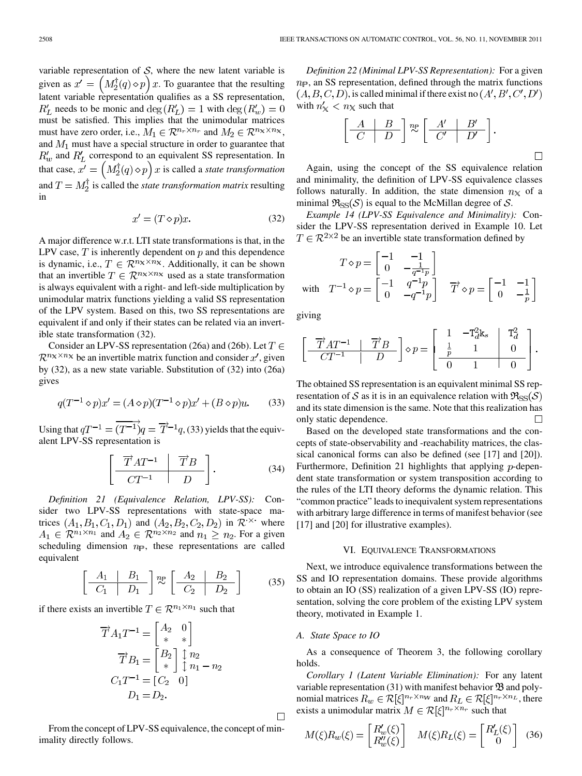variable representation of  $S$ , where the new latent variable is given as  $x' = (M_2^{\dagger}(q) \diamond p)x$ . To guarantee that the resulting Latent variable representation qualifies as a SS representation,  $R'_L$  needs to be monic and  $\deg(R'_L) = 1$  with  $\deg(R'_w) = 0$ must be satisfied. This implies that the unimodular matrices must have zero order, i.e.,  $M_1 \in \mathbb{R}^{n_r \times n_r}$  and  $M_2 \in \mathbb{R}^{n_x \times n_x}$ , and  $M_1$  must have a special structure in order to guarantee that  $R'_w$  and  $R'_L$  correspond to an equivalent SS representation. In that case,  $x' = \left(M_2^{\dagger}(q) \diamond p\right)x$  is called a *state transformation* and  $T = M_2^{\dagger}$  is called the *state transformation matrix* resulting in

$$
x' = (T \diamond p)x.
$$
 (32)

A major difference w.r.t. LTI state transformations is that, in the LPV case,  $T$  is inherently dependent on  $p$  and this dependence is dynamic, i.e.,  $T \in \mathbb{R}^{n \times n \times n}$ . Additionally, it can be shown that an invertible  $T \in \mathbb{R}^{n \times \times n \times n}$  used as a state transformation is always equivalent with a right- and left-side multiplication by unimodular matrix functions yielding a valid SS representation of the LPV system. Based on this, two SS representations are equivalent if and only if their states can be related via an invertible state transformation (32).

Consider an LPV-SS representation (26a) and (26b). Let  $T \in$  $\mathcal{R}^{n_{\mathbf{X}} \times n_{\mathbf{X}}}$  be an invertible matrix function and consider  $x'$ , given by (32), as a new state variable. Substitution of (32) into (26a) gives

$$
q(T^{-1} \diamond p)x' = (A \diamond p)(T^{-1} \diamond p)x' + (B \diamond p)u. \tag{33}
$$

Using that  $qT^{-1} = \overrightarrow{(T^{-1})q} = \overrightarrow{T}^{-1}q$ , (33) yields that the equivalent LPV-SS representation is

$$
\left[\begin{array}{c|c}\n\overrightarrow{T}AT^{-1} & \overrightarrow{T}B \\
\hline\nCT^{-1} & D\n\end{array}\right].
$$
\n(34)

*Definition 21 (Equivalence Relation, LPV-SS):* Consider two LPV-SS representations with state-space matrices  $(A_1, B_1, C_1, D_1)$  and  $(A_2, B_2, C_2, D_2)$  in  $\mathcal{R}^{\cdot \times \cdot}$  where  $A_1 \in \mathcal{R}^{n_1 \times n_1}$  and  $A_2 \in \mathcal{R}^{n_2 \times n_2}$  and  $n_1 \geq n_2$ . For a given scheduling dimension  $n_p$ , these representations are called equivalent

$$
\left[\begin{array}{c|c} A_1 & B_1 \\ \hline C_1 & D_1 \end{array}\right] \stackrel{ne}{\sim} \left[\begin{array}{c|c} A_2 & B_2 \\ \hline C_2 & D_2 \end{array}\right] \tag{35}
$$

if there exists an invertible  $T \in \mathbb{R}^{n_1 \times n_1}$  such that

$$
\overrightarrow{T} A_1 T^{-1} = \begin{bmatrix} A_2 & 0 \\ * & * \end{bmatrix}
$$

$$
\overrightarrow{T} B_1 = \begin{bmatrix} B_2 \\ * \end{bmatrix} \begin{bmatrix} n_2 \\ n_1 - n_2 \end{bmatrix}
$$

$$
C_1 T^{-1} = \begin{bmatrix} C_2 & 0 \end{bmatrix}
$$

$$
D_1 = D_2.
$$

From the concept of LPV-SS equivalence, the concept of minimality directly follows.

*Definition 22 (Minimal LPV-SS Representation):* For a given  $n_{\rm P}$ , an SS representation, defined through the matrix functions  $(A, B, C, D)$ , is called minimal if there exist no  $(A', B', C', D')$ with  $n'_\times$  <  $n_\times$  such that

$$
\left[\begin{array}{c|c} A & B \\ \hline C & D \end{array}\right] \stackrel{np}{\sim} \left[\begin{array}{c|c} A' & B' \\ \hline C' & D' \end{array}\right].
$$

 $\Box$ 

Again, using the concept of the SS equivalence relation and minimality, the definition of LPV-SS equivalence classes follows naturally. In addition, the state dimension  $n<sub>x</sub>$  of a minimal  $\Re$ <sub>SS</sub>(S) is equal to the McMillan degree of S.

*Example 14 (LPV-SS Equivalence and Minimality):* Consider the LPV-SS representation derived in Example 10. Let  $T \in \mathbb{R}^{2 \times 2}$  be an invertible state transformation defined by

$$
T \diamond p = \begin{bmatrix} -1 & -1 \\ 0 & -\frac{1}{q-1p} \end{bmatrix}
$$
  
with 
$$
T^{-1} \diamond p = \begin{bmatrix} -1 & q^{-1}p \\ 0 & -q^{-1}p \end{bmatrix} \quad \overrightarrow{T} \diamond p = \begin{bmatrix} -1 & -1 \\ 0 & -\frac{1}{p} \end{bmatrix}
$$

giving

$$
\left[\begin{array}{c|c}\n\overrightarrow{T}AT^{-1} & \overrightarrow{T}B \\
\hline\nCT^{-1} & D\n\end{array}\right] \diamond p = \left[\begin{array}{c|c} 1 & -T_d^2 k_s & T_d^2 \\
\frac{1}{p} & 1 & 0 \\
\hline\n0 & 1 & 0\n\end{array}\right].
$$

The obtained SS representation is an equivalent minimal SS representation of S as it is in an equivalence relation with  $\Re_{SS}(S)$ and its state dimension is the same. Note that this realization has only static dependence.  $\Box$ 

Based on the developed state transformations and the concepts of state-observability and -reachability matrices, the classical canonical forms can also be defined (see [17] and [20]). Furthermore, Definition 21 highlights that applying  $p$ -dependent state transformation or system transposition according to the rules of the LTI theory deforms the dynamic relation. This "common practice" leads to inequivalent system representations with arbitrary large difference in terms of manifest behavior (see [17] and [20] for illustrative examples).

#### VI. EQUIVALENCE TRANSFORMATIONS

Next, we introduce equivalence transformations between the SS and IO representation domains. These provide algorithms to obtain an IO (SS) realization of a given LPV-SS (IO) representation, solving the core problem of the existing LPV system theory, motivated in Example 1.

#### *A. State Space to IO*

As a consequence of Theorem 3, the following corollary holds.

*Corollary 1 (Latent Variable Elimination):* For any latent variable representation (31) with manifest behavior  $\mathfrak B$  and polynomial matrices  $R_w \in \mathcal{R}[\xi]^{n_r \times n_W}$  and  $R_L \in \mathcal{R}[\xi]^{n_r \times n_L}$ , there exists a unimodular matrix  $M \in \mathcal{R}[\xi]^{n_r \times n_r}$  such that

$$
M(\xi)R_w(\xi) = \begin{bmatrix} R'_w(\xi) \\ R''_w(\xi) \end{bmatrix} \quad M(\xi)R_L(\xi) = \begin{bmatrix} R'_L(\xi) \\ 0 \end{bmatrix} \quad (36)
$$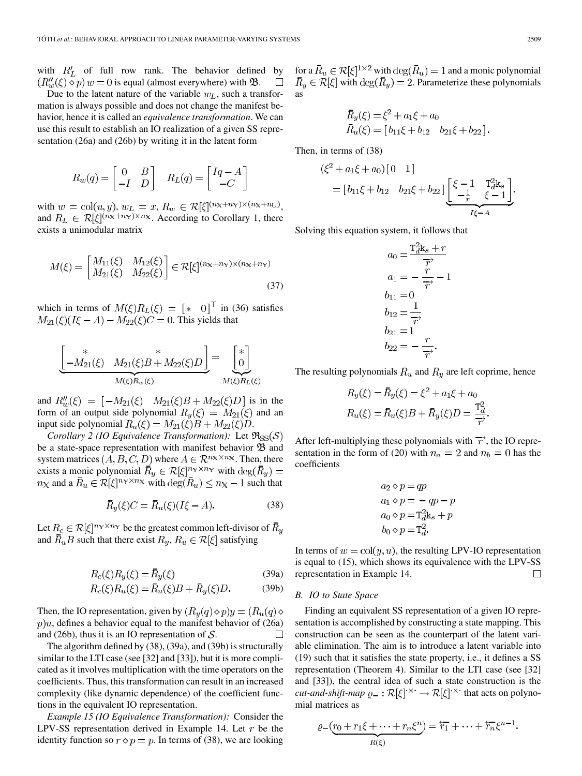with  $R'_L$  of full row rank. The behavior defined by  $\left(R''_w(\xi) \diamond p\right) w = 0$  is equal (almost everywhere) with  $\mathfrak{B}$ .  $\Box$ 

Due to the latent nature of the variable  $w_L$ , such a transformation is always possible and does not change the manifest behavior, hence it is called an *equivalence transformation*. We can use this result to establish an IO realization of a given SS representation (26a) and (26b) by writing it in the latent form

$$
R_w(q) = \begin{bmatrix} 0 & B \\ -I & D \end{bmatrix} \quad R_L(q) = \begin{bmatrix} Iq - A \\ -C \end{bmatrix}
$$

with  $w = col(u, y), w_L = x, R_w \in \mathcal{R}[\xi]^{(n_x + n_y) \times (n_x + n_U)},$ and  $R_L \in \mathcal{R}[\xi]^{(n_\mathbf{X}+n_\mathbf{Y}) \times n_\mathbf{X}}$ . According to Corollary 1, there exists a unimodular matrix

$$
M(\xi) = \begin{bmatrix} M_{11}(\xi) & M_{12}(\xi) \\ M_{21}(\xi) & M_{22}(\xi) \end{bmatrix} \in \mathcal{R}[\xi]^{(n_{\mathbf{X}} + n_{\mathbf{Y}}) \times (n_{\mathbf{X}} + n_{\mathbf{Y}})}
$$
\n(37)

which in terms of  $M(\xi)R_L(\xi) = [* \ 0]^\top$  in (36) satisfies  $M_{21}(\xi)(I\xi - A) - M_{22}(\xi)C = 0$ . This yields that

$$
\underbrace{\begin{bmatrix} * & * \\ -M_{21}(\xi) & M_{21}(\xi)B + M_{22}(\xi)D \end{bmatrix}}_{M(\xi)R_w(\xi)} = \underbrace{\begin{bmatrix} * \\ 0 \end{bmatrix}}_{M(\xi)R_L(\xi)}
$$

and  $R''_w(\xi) = [-M_{21}(\xi) \quad M_{21}(\xi)B + M_{22}(\xi)D]$  is in the form of an output side polynomial  $R_y(\xi) = M_{21}(\xi)$  and an input side polynomial  $R_u(\xi) = M_{21}(\xi)B + M_{22}(\xi)D$ .

*Corollary 2 (IO Equivalence Transformation):* Let be a state-space representation with manifest behavior  $\mathfrak B$  and system matrices  $(A, B, C, D)$  where  $A \in \mathbb{R}^{n_x \times n_x}$ . Then, there exists a monic polynomial  $\overline{R}_y \in \mathcal{R}[\xi]^{n_\Upsilon \times n_\Upsilon}$  with  $\deg(\overline{R}_y) =$  $n_{\mathbb{X}}$  and a  $\bar{R}_u \in \mathcal{R}[\xi]^{n_{\mathbb{Y}} \times n_{\mathbb{X}}}$  with  $\deg(\bar{R}_u) \leq n_{\mathbb{X}} - 1$  such that

$$
\bar{R}_y(\xi)C = \bar{R}_u(\xi)(I\xi - A). \tag{38}
$$

Let  $R_c \in \mathcal{R}[\xi]^{n_{\gamma} \times n_{\gamma}}$  be the greatest common left-divisor of  $\bar{R}_y$ and  $\bar{R}_u B$  such that there exist  $R_u, R_u \in \mathcal{R}[\xi]$  satisfying

$$
R_c(\xi)R_y(\xi) = \bar{R}_y(\xi) \tag{39a}
$$

$$
R_c(\xi)R_u(\xi) = \bar{R}_u(\xi)B + \bar{R}_y(\xi)D.
$$
 (39b)

Then, the IO representation, given by  $(R_y(q) \diamond p)y = (R_u(q) \diamond$  $p$ )*u*, defines a behavior equal to the manifest behavior of (26a) and (26b), thus it is an IO representation of  $S$ .  $\Box$ 

The algorithm defined by (38), (39a), and (39b) is structurally similar to the LTI case (see [32] and [33]), but it is more complicated as it involves multiplication with the time operators on the coefficients. Thus, this transformation can result in an increased complexity (like dynamic dependence) of the coefficient functions in the equivalent IO representation.

*Example 15 (IO Equivalence Transformation):* Consider the LPV-SS representation derived in Example 14. Let  $r$  be the identity function so  $r \diamond p = p$ . In terms of (38), we are looking for a  $\bar{R}_u \in \mathcal{R}[\xi]^{1 \times 2}$  with  $\deg(\bar{R}_u) = 1$  and a monic polynomial  $\overline{R}_y \in \mathcal{R}[\xi]$  with  $\deg(\overline{R}_y) = 2$ . Parameterize these polynomials as

$$
\begin{aligned} \bar{R}_y(\xi) &= \xi^2 + a_1 \xi + a_0 \\ \bar{R}_u(\xi) &= \begin{bmatrix} b_{11}\xi + b_{12} & b_{21}\xi + b_{22} \end{bmatrix} . \end{aligned}
$$

Then, in terms of (38)

$$
\begin{aligned} (\xi^2 + a_1 \xi + a_0) \begin{bmatrix} 0 & 1 \end{bmatrix} \\ &= [b_{11}\xi + b_{12} \quad b_{21}\xi + b_{22}] \underbrace{\begin{bmatrix} \xi - 1 & T_d^2 \mathbf{k}_s \\ -\frac{1}{r} & \xi - 1 \end{bmatrix}}_{I\xi - A} .\end{aligned}
$$

Solving this equation system, it follows that

$$
a_0 = \frac{T_d^2 k_s + r}{\overrightarrow{r}^2}
$$
  
\n
$$
a_1 = -\frac{r}{\overrightarrow{r}^2} - 1
$$
  
\n
$$
b_{11} = 0
$$
  
\n
$$
b_{12} = \frac{1}{\overrightarrow{r}^2}
$$
  
\n
$$
b_{21} = 1
$$
  
\n
$$
b_{22} = -\frac{r}{\overrightarrow{r}^2}
$$

The resulting polynomials  $\bar{R}_u$  and  $\bar{R}_y$  are left coprime, hence

$$
R_y(\xi) = \bar{R}_y(\xi) = \xi^2 + a_1 \xi + a_0
$$
  

$$
R_u(\xi) = \bar{R}_u(\xi)B + \bar{R}_y(\xi)D = \frac{T_d^2}{\bar{r}}
$$

After left-multiplying these polynomials with  $\overrightarrow{r}$ , the IO representation in the form of (20) with  $n_a = 2$  and  $n_b = 0$  has the coefficients

$$
a_2 \diamond p = qp
$$
  
\n
$$
a_1 \diamond p = -qp - p
$$
  
\n
$$
a_0 \diamond p = T_d^2 k_s + p
$$
  
\n
$$
b_0 \diamond p = T_d^2.
$$

In terms of  $w = col(y, u)$ , the resulting LPV-IO representation is equal to (15), which shows its equivalence with the LPV-SS representation in Example 14.  $\Box$ 

#### *B. IO to State Space*

Finding an equivalent SS representation of a given IO representation is accomplished by constructing a state mapping. This construction can be seen as the counterpart of the latent variable elimination. The aim is to introduce a latent variable into (19) such that it satisfies the state property, i.e., it defines a SS representation (Theorem 4). Similar to the LTI case (see [32] and [33]), the central idea of such a state construction is the *cut-and-shift-map*  $\rho_{-}: \mathcal{R}[\xi] \times \rightarrow \mathcal{R}[\xi] \times$  that acts on polynomial matrices as

$$
\varrho_{-}\left(\underbrace{r_0 + r_1 \xi + \dots + r_n \xi^n}_{R(\xi)}\right) = \overleftarrow{r_1} + \dots + \overleftarrow{r_n} \xi^{n-1}.
$$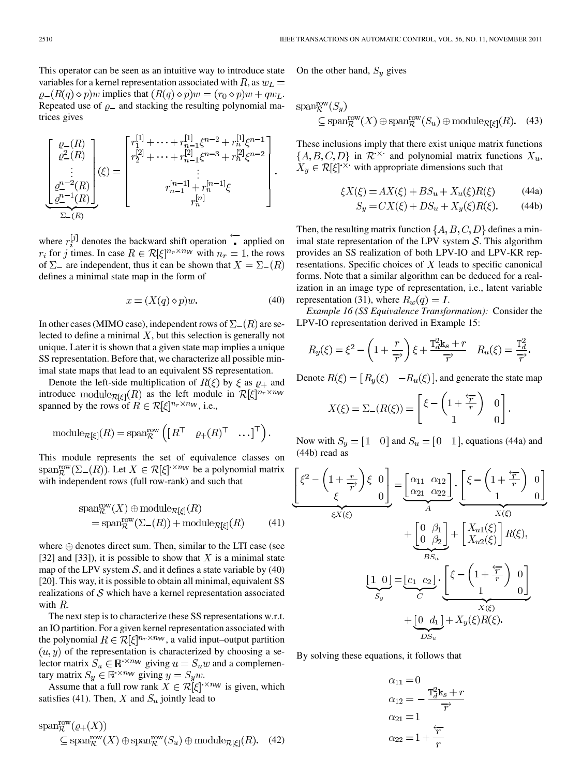This operator can be seen as an intuitive way to introduce state variables for a kernel representation associated with R, as  $w_L =$  $\rho_{-}(R(q) \diamond p)w$  implies that  $(R(q) \diamond p)w = (r_0 \diamond p)w + qw_L$ . Repeated use of  $\rho_-$  and stacking the resulting polynomial matrices gives

$$
\underbrace{\begin{bmatrix} \varrho_{-}(R) \\ \varrho_{-}^{2}(R) \\ \vdots \\ \varrho_{-}^{n-2}(R) \\ \varrho_{-}^{n-1}(R) \end{bmatrix}}_{\Sigma_{-}(R)}(\xi) = \begin{bmatrix} r_{1}^{[1]} + \cdots + r_{n-1}^{[1]} \xi^{n-2} + r_{n}^{[1]} \xi^{n-1} \\ r_{2}^{[2]} + \cdots + r_{n-1}^{[2]} \xi^{n-3} + r_{n}^{[2]} \xi^{n-2} \\ \vdots \\ r_{n-1}^{[n-1]} + r_{n}^{[n-1]} \xi \\ r_{n}^{[n]} \end{bmatrix}.
$$

where  $r_i^{[j]}$  denotes the backward shift operation  $\overleftarrow{\phantom{a}}$  applied on  $r_i$  for j times. In case  $R \in \mathcal{R}[\xi]^{n_r \times n_W}$  with  $n_r = 1$ , the rows of  $\Sigma$  are independent, thus it can be shown that  $X = \Sigma_{-}(R)$ defines a minimal state map in the form of

$$
x = (X(q) \diamond p)w.
$$
 (40)

In other cases (MIMO case), independent rows of  $\Sigma_{-}(R)$  are selected to define a minimal  $X$ , but this selection is generally not unique. Later it is shown that a given state map implies a unique SS representation. Before that, we characterize all possible minimal state maps that lead to an equivalent SS representation.

Denote the left-side multiplication of  $R(\xi)$  by  $\xi$  as  $\varrho_+$  and introduce module $_{\mathcal{R}[\xi]}(R)$  as the left module in spanned by the rows of  $R \in \mathcal{R}[\xi]^{n_r \times n_W}$ , i.e.,

module<sub>$$
\mathcal{R}[\xi]
$$</sub> $(R) = \text{span}_{\mathcal{R}}^{\text{row}} \left( \begin{bmatrix} R^{\top} & \varrho_{+}(R)^{\top} & \dots \end{bmatrix}^{\top} \right).$ 

This module represents the set of equivalence classes on span<sup>row</sup> $(\Sigma_{-}(R))$ . Let  $X \in \mathcal{R}[\xi] \times \infty$  be a polynomial matrix with independent rows (full row-rank) and such that

$$
\text{span}_{\mathcal{R}}^{\text{row}}(X) \oplus \text{module}_{\mathcal{R}[\xi]}(R)
$$
  
= span\_{\mathcal{R}}^{\text{row}}(\Sigma\_{-}(R)) + \text{module}\_{\mathcal{R}[\xi]}(R) (41)

where  $\oplus$  denotes direct sum. Then, similar to the LTI case (see [32] and [33]), it is possible to show that X is a minimal state map of the LPV system  $S$ , and it defines a state variable by (40) [20]. This way, it is possible to obtain all minimal, equivalent SS realizations of  $S$  which have a kernel representation associated with  $R$ .

The next step is to characterize these SS representations w.r.t. an IO partition. For a given kernel representation associated with the polynomial  $R \in \mathcal{R}[\xi]^{n_r \times n_W}$ , a valid input–output partition  $(u, y)$  of the representation is characterized by choosing a selector matrix  $S_u \in \mathbb{R}^{\times n_w}$  giving  $u = S_u w$  and a complementary matrix  $S_y \in \mathbb{R}^{\cdot \times n_W}$  giving  $y = S_y w$ .

Assume that a full row rank  $X \in \mathcal{R}[\xi] \times \mathcal{W}$  is given, which satisfies (41). Then, X and  $S_u$  jointly lead to

$$
\mathrm{span}_{\mathcal{R}}^{\mathrm{row}}(\varrho_+(X))\subseteq \mathrm{span}_{\mathcal{R}}^{\mathrm{row}}(X)\oplus \mathrm{span}_{\mathcal{R}}^{\mathrm{row}}(S_u)\oplus \mathrm{module}_{\mathcal{R}[\xi]}(R). \quad (42)
$$

On the other hand,  $S_{y}$  gives

$$
\operatorname{span}^{\text{row}}_{\mathcal{R}}(S_y)
$$
  

$$
\subseteq \operatorname{span}^{\text{row}}_{\mathcal{R}}(X) \oplus \operatorname{span}^{\text{row}}_{\mathcal{R}}(S_u) \oplus \operatorname{module}_{\mathcal{R}[\xi]}(R). \quad (43)
$$

These inclusions imply that there exist unique matrix functions  $\{A, B, C, D\}$  in  $\mathcal{R}^{\times}$  and polynomial matrix functions  $X_u$ ,  $X_u \in \mathcal{R}[\xi]^{*\times}$  with appropriate dimensions such that

$$
\xi X(\xi) = AX(\xi) + BS_u + X_u(\xi)R(\xi) \tag{44a}
$$

$$
S_y = CX(\xi) + DS_u + X_y(\xi)R(\xi). \tag{44b}
$$

Then, the resulting matrix function  $\{A, B, C, D\}$  defines a minimal state representation of the LPV system  $S$ . This algorithm provides an SS realization of both LPV-IO and LPV-KR representations. Specific choices of  $X$  leads to specific canonical forms. Note that a similar algorithm can be deduced for a realization in an image type of representation, i.e., latent variable representation (31), where  $R_w(q) = I$ .

*Example 16 (SS Equivalence Transformation):* Consider the LPV-IO representation derived in Example 15:

$$
R_y(\xi) = \xi^2 - \left(1 + \frac{r}{\overline{r}'}\right)\xi + \frac{T_d^2 \mathbf{k}_s + r}{\overline{r}'} \quad R_u(\xi) = \frac{T_d^2}{\overline{r}'}.
$$

Denote  $R(\xi) = [R_u(\xi) - R_u(\xi)]$ , and generate the state map

$$
X(\xi) = \Sigma_{-}(R(\xi)) = \begin{bmatrix} \xi - \left(1 + \frac{\xi r}{r}\right) & 0\\ 1 & 0 \end{bmatrix}.
$$

Now with  $S_y = \begin{bmatrix} 1 & 0 \end{bmatrix}$  and  $S_u = \begin{bmatrix} 0 & 1 \end{bmatrix}$ , equations (44a) and (44b) read as

$$
\left[\xi^{2} - \left(1 + \frac{r}{\overline{r}'}\right)\xi \quad 0\right] = \underbrace{\left[\alpha_{11} \quad \alpha_{12}\right]}_{\xi X(\xi)} \cdot \underbrace{\left[\xi - \left(1 + \frac{\overline{r}}{r}\right) \quad 0\right]}_{\Delta} + \underbrace{\left[\frac{0}{0} \quad \beta_{1}\right]}_{\Delta X(\xi)} + \underbrace{\left[\frac{0}{0} \quad \beta_{1}\right]}_{\Delta X(\xi)} + \left[\frac{X_{u1}(\xi)}{X_{u2}(\xi)}\right] R(\xi),
$$
\n
$$
\underbrace{\left[1 \quad 0\right]}_{S_{y}} = \underbrace{\left[c_{1} \quad c_{2}\right]}_{C} \cdot \underbrace{\left[\xi - \left(1 + \frac{\overline{r}}{r}\right) \quad 0\right]}_{X(\xi)} + \underbrace{\left[0 \quad d_{1}\right]}_{X(\xi)} + X_{y}(\xi) R(\xi).
$$

By solving these equations, it follows that

$$
\alpha_{11} = 0
$$
  
\n
$$
\alpha_{12} = -\frac{T_d^2 k_s + r}{\overline{r}}
$$
  
\n
$$
\alpha_{21} = 1
$$
  
\n
$$
\alpha_{22} = 1 + \frac{r}{r}
$$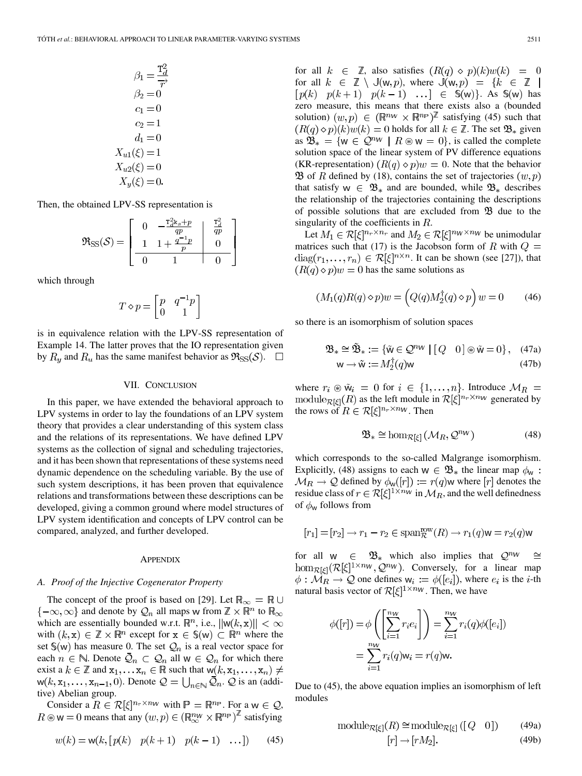$$
\beta_1 = \frac{T_d^2}{\overline{r}},
$$
  
\n
$$
\beta_2 = 0
$$
  
\n
$$
c_1 = 0
$$
  
\n
$$
c_2 = 1
$$
  
\n
$$
d_1 = 0
$$
  
\n
$$
X_{u1}(\xi) = 1
$$
  
\n
$$
X_{u2}(\xi) = 0
$$
  
\n
$$
X_{u}(\xi) = 0.
$$

Then, the obtained LPV-SS representation is

$$
\Re_{\text{SS}}(\mathcal{S}) = \left[ \begin{array}{ccc|c} 0 & -\frac{\tau_{d}^{2}k_{s}+p}{qp} & \frac{\tau_{d}^{2}}{qp} \\ 1 & 1+\frac{q^{-1}p}{p} & 0 \\ \hline 0 & 1 & 0 \end{array} \right]
$$

which through

$$
T \diamond p = \begin{bmatrix} p & q^{-1}p \\ 0 & 1 \end{bmatrix}
$$

is in equivalence relation with the LPV-SS representation of Example 14. The latter proves that the IO representation given by  $R_u$  and  $R_u$  has the same manifest behavior as  $\Re_{SS}(S)$ .  $\Box$ 

#### VII. CONCLUSION

In this paper, we have extended the behavioral approach to LPV systems in order to lay the foundations of an LPV system theory that provides a clear understanding of this system class and the relations of its representations. We have defined LPV systems as the collection of signal and scheduling trajectories, and it has been shown that representations of these systems need dynamic dependence on the scheduling variable. By the use of such system descriptions, it has been proven that equivalence relations and transformations between these descriptions can be developed, giving a common ground where model structures of LPV system identification and concepts of LPV control can be compared, analyzed, and further developed.

#### **APPENDIX**

# *A. Proof of the Injective Cogenerator Property*

The concept of the proof is based on [29]. Let  $\mathbb{R}_{\infty} = \mathbb{R} \cup$  $\{-\infty,\infty\}$  and denote by  $\mathcal{Q}_n$  all maps w from  $\mathbb{Z}\times\mathbb{R}^n$  to  $\mathbb{R}_{\infty}$ which are essentially bounded w.r.t.  $\mathbb{R}^n$ , i.e.,  $\|w(k, x)\| < \infty$ with  $(k, x) \in \mathbb{Z} \times \mathbb{R}^n$  except for  $x \in \mathbb{S}(w) \subset \mathbb{R}^n$  where the set  $\mathcal{S}(w)$  has measure 0. The set  $\mathcal{Q}_n$  is a real vector space for each  $n \in \mathbb{N}$ . Denote  $\overline{Q}_n \subset Q_n$  all  $w \in Q_n$  for which there exist a  $k \in \mathbb{Z}$  and  $x_1, \ldots, x_n \in \mathbb{R}$  such that  $w(k, x_1, \ldots, x_n) \neq$  $w(k, x_1, \ldots, x_{n-1}, 0)$ . Denote  $\mathcal{Q} = \bigcup_{n \in \mathbb{N}} \overline{\mathcal{Q}}_n$ .  $\overline{\mathcal{Q}}$  is an (additive) Abelian group.

Consider a  $R \in \mathcal{R}[\xi]^{n_r \times n_W}$  with  $\mathbb{P} = \mathbb{R}^{n_{\mathbb{P}}}$ . For a w  $\in \mathcal{Q}$ ,  $R \otimes w = 0$  means that any  $(w, p) \in (\mathbb{R}_{\infty}^{n_{W}} \times \mathbb{R}^{n_{P}})^{\mathbb{Z}}$  satisfying

$$
w(k) = w(k, [p(k) \quad p(k+1) \quad p(k-1) \quad \dots]) \tag{45}
$$

for all  $k \in \mathbb{Z}$ , also satisfies  $(R(q) \diamond p)(k)w(k) = 0$ for all  $k \in \mathbb{Z} \setminus \mathbb{J}(w, p)$ , where  $\mathbb{J}(w, p) = \{k \in \mathbb{Z} \mid \mathbb{J}(w, p) = 0\}$  $[p(k) \quad p(k+1) \quad p(k-1) \quad \ldots] \in S(w)$ . As  $S(w)$  has zero measure, this means that there exists also a (bounded solution)  $(w, p) \in (\mathbb{R}^{n_w} \times \mathbb{R}^{n_p})^{\mathbb{Z}}$  satisfying (45) such that  $(R(q) \diamond p)(k)w(k) = 0$  holds for all  $k \in \mathbb{Z}$ . The set  $\mathfrak{B}_*$  given as  $\mathfrak{B}_* = \{ w \in \mathcal{Q}^{nw} \mid R \otimes w = 0 \}$ , is called the complete solution space of the linear system of PV difference equations (KR-representation)  $(R(q) \diamond p)w = 0$ . Note that the behavior  $\mathfrak B$  of R defined by (18), contains the set of trajectories  $(w, p)$ that satisfy  $w \in \mathfrak{B}_*$  and are bounded, while  $\mathfrak{B}_*$  describes the relationship of the trajectories containing the descriptions of possible solutions that are excluded from  $\mathfrak B$  due to the singularity of the coefficients in  $R$ .

Let  $M_1 \in \mathcal{R}[\xi]^{n_r \times n_r}$  and  $M_2 \in \mathcal{R}[\xi]^{n_W \times n_W}$  be unimodular matrices such that (17) is the Jacobson form of R with  $Q =$  $\text{diag}(r_1, \ldots, r_n) \in \mathcal{R}[\xi]^{n \times n}$ . It can be shown (see [27]), that  $(R(q) \diamond p)w = 0$  has the same solutions as

$$
(M_1(q)R(q)\diamond p)w = (Q(q)M_2^{\dagger}(q)\diamond p) w = 0 \qquad (46)
$$

so there is an isomorphism of solution spaces

$$
\mathfrak{B}_* \cong \tilde{\mathfrak{B}}_* := \{ \tilde{\mathsf{w}} \in \mathcal{Q}^{n_{\mathsf{W}}} \mid [Q \quad 0] \circledast \tilde{\mathsf{w}} = 0 \}, \quad \text{(47a)}
$$
\n
$$
\mathsf{w} \to \tilde{\mathsf{w}} := M_2^{\dagger}(q) \mathsf{w} \tag{47b}
$$

where  $r_i \otimes \tilde{w}_i = 0$  for  $i \in \{1, ..., n\}$ . Introduce  $\mathcal{M}_R =$ module $\mathcal{R}[\xi](R)$  as the left module in  $\mathcal{R}[\xi]^{n_r \times n_W}$  generated by the rows of  $R \in \mathcal{R}[\xi]^{n_r \times n_W}$ . Then

$$
\mathfrak{B}_* \cong \hom_{\mathcal{R}[\xi]}(\mathcal{M}_R, \mathcal{Q}^{n_W})
$$
\n(48)

which corresponds to the so-called Malgrange isomorphism. Explicitly, (48) assigns to each  $w \in \mathfrak{B}_*$  the linear map  $\phi_w$ :  $\mathcal{M}_R \to \mathcal{Q}$  defined by  $\phi_w([r]) := r(q)$  where  $[r]$  denotes the residue class of  $r \in \mathcal{R}[\xi]^{1 \times n_W}$  in  $\mathcal{M}_R$ , and the well definedness of  $\phi_w$  follows from

$$
[r_1]=[r_2]\rightarrow r_1-r_2\in \operatorname{span}^{\operatorname{row}}_{\mathcal{R}}(R)\rightarrow r_1(q)\mathsf{w}=r_2(q)\mathsf{w}
$$

for all  $w \in \mathfrak{B}_*$  which also implies that  $\mathcal{Q}^{nw}$  $\hom_{\mathcal{R}[\xi]}(\mathcal{R}[\xi]^{1\times n_W}, \mathcal{Q}^{n_W})$ . Conversely, for a linear map  $\phi : \mathcal{M}_R \to \mathcal{Q}$  one defines  $w_i := \phi([e_i])$ , where  $e_i$  is the *i*-th natural basis vector of  $\mathcal{R}[\xi]^{1 \times n_w}$ . Then, we have

$$
\phi([r]) = \phi\left(\left[\sum_{i=1}^{n_W} r_i e_i\right]\right) = \sum_{i=1}^{n_W} r_i(q)\phi([e_i])
$$

$$
= \sum_{i=1}^{n_W} r_i(q)w_i = r(q)w.
$$

Due to (45), the above equation implies an isomorphism of left modules

$$
\text{module}_{\mathcal{R}[\xi]}(R) \cong \text{module}_{\mathcal{R}[\xi]}([Q \quad 0]) \tag{49a}
$$

$$
[r] \to [rM_2]. \tag{49b}
$$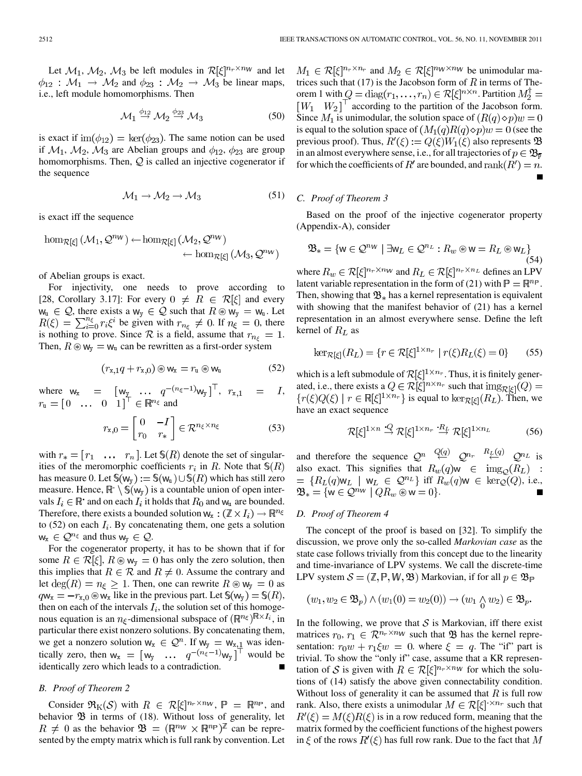Let  $\mathcal{M}_1$ ,  $\mathcal{M}_2$ ,  $\mathcal{M}_3$  be left modules in  $\mathcal{R}[\xi]^{n_r \times n_W}$  and let  $\phi_{12}: \mathcal{M}_1 \to \mathcal{M}_2$  and  $\phi_{23}: \mathcal{M}_2 \to \mathcal{M}_3$  be linear maps, i.e., left module homomorphisms. Then

$$
\mathcal{M}_1 \stackrel{\phi_{12}}{\rightarrow} \mathcal{M}_2 \stackrel{\phi_{23}}{\rightarrow} \mathcal{M}_3 \tag{50}
$$

is exact if  $\text{im}(\phi_{12}) = \text{ker}(\phi_{23})$ . The same notion can be used if  $\mathcal{M}_1$ ,  $\mathcal{M}_2$ ,  $\mathcal{M}_3$  are Abelian groups and  $\phi_{12}$ ,  $\phi_{23}$  are group homomorphisms. Then,  $Q$  is called an injective cogenerator if the sequence

$$
\mathcal{M}_1 \to \mathcal{M}_2 \to \mathcal{M}_3 \tag{51}
$$

is exact iff the sequence

$$
\operatorname{hom}_{\mathcal{R}[\xi]}(\mathcal{M}_1, \mathcal{Q}^{n_w}) \leftarrow \operatorname{hom}_{\mathcal{R}[\xi]}(\mathcal{M}_2, \mathcal{Q}^{n_w}) \leftarrow \operatorname{hom}_{\mathcal{R}[\xi]}(\mathcal{M}_3, \mathcal{Q}^{n_w})
$$

of Abelian groups is exact.

For injectivity, one needs to prove according to [28, Corollary 3.17]: For every  $0 \neq R \in \mathcal{R}[\xi]$  and every  $u_{\mathbf{u}} \in \mathcal{Q}$ , there exists a  $w_{\mathbf{y}} \in \mathcal{Q}$  such that  $R \circledast w_{\mathbf{y}} = w_{\mathbf{u}}$ . Let  $R(\xi) = \sum_{i=0}^{n_{\xi}} r_i \xi^i$  be given with  $r_{n_{\xi}} \neq 0$ . If  $n_{\xi} = 0$ , there is nothing to prove. Since  $\mathcal R$  is a field, assume that  $r_{n_{\mathcal E}} = 1$ . Then,  $R \otimes w_y = w_u$  can be rewritten as a first-order system

$$
(r_{\mathbf{x},1}q + r_{\mathbf{x},0}) \circledast \mathbf{w}_{\mathbf{x}} = r_{\mathbf{u}} \circledast \mathbf{w}_{\mathbf{u}} \tag{52}
$$

where  $w_x = [w_y \dots q^{-(n_{\xi}-1)} w_y]^{\top}, r_{x,1} = I$ ,  $\mathbf{u} = \begin{bmatrix} 0 & \dots & 0 & 1 \end{bmatrix}^\top \in \mathbb{R}^{n_{\xi}}$  and

$$
r_{\mathbf{x},0} = \begin{bmatrix} 0 & -I \\ r_0 & r_* \end{bmatrix} \in \mathcal{R}^{n_{\xi} \times n_{\xi}}
$$
(53)

with  $r_* = [r_1 \dots r_n]$ . Let  $\mathcal{S}(R)$  denote the set of singularities of the meromorphic coefficients  $r_i$  in R. Note that  $\mathcal{S}(R)$ has measure 0. Let  $\mathcal{S}(w_{y}) := \mathcal{S}(w_{u}) \cup \mathcal{S}(R)$  which has still zero measure. Hence,  $\mathbb{R} \setminus \mathbb{S}(w_y)$  is a countable union of open intervals  $I_i \in \mathbb{R}^1$  and on each  $I_i$  it holds that  $R_0$  and  $w_u$  are bounded. Therefore, there exists a bounded solution  $w_x : (\mathbb{Z} \times I_i) \to \mathbb{R}^{n_{\xi}}$ to (52) on each  $I_i$ . By concatenating them, one gets a solution  $\mathbf{y}_\mathbf{x} \in \mathcal{Q}^{n_{\xi}}$  and thus  $\mathbf{w}_\mathbf{y} \in \mathcal{Q}$ .

For the cogenerator property, it has to be shown that if for some  $R \in \mathcal{R}[\xi], R \otimes w_y = 0$  has only the zero solution, then this implies that  $R \in \mathcal{R}$  and  $R \neq 0$ . Assume the contrary and let  $\deg(R) = n_{\xi} \ge 1$ . Then, one can rewrite  $R \circledast w_y = 0$  as  $L_x = -r_{x,0} \otimes w_x$  like in the previous part. Let  $\mathcal{S}(w_y) = \mathcal{S}(R)$ , then on each of the intervals  $I_i$ , the solution set of this homogenous equation is an  $n_{\xi}$ -dimensional subspace of  $(\mathbb{R}^{n_{\xi}})^{\mathbb{R} \times I_i}$ , in particular there exist nonzero solutions. By concatenating them, we get a nonzero solution  $w_x \in \mathcal{Q}^n$ . If  $w_y = w_{x,\underline{1}}$  was identically zero, then  $w_x = [w_y \dots q^{-(n_{\xi}-1)} w_y]$  would be identically zero which leads to a contradiction.

# *B. Proof of Theorem 2*

Consider  $\mathfrak{R}_{K}(S)$  with  $R \in \mathcal{R}[\xi]^{n_r \times n_W}, \mathbb{P} = \mathbb{R}^{n_{\text{P}}}$ , and behavior  $\mathfrak B$  in terms of (18). Without loss of generality, let  $R \neq 0$  as the behavior  $\mathfrak{B} = (\mathbb{R}^{n_W} \times \mathbb{R}^{n_P})^{\mathbb{Z}}$  can be represented by the empty matrix which is full rank by convention. Let

 $M_1 \in \mathcal{R}[\xi]^{n_r \times n_r}$  and  $M_2 \in \mathcal{R}[\xi]^{n_W \times n_W}$  be unimodular matrices such that (17) is the Jacobson form of  $R$  in terms of Theorem 1 with  $Q = diag(r_1, \ldots, r_n) \in \mathcal{R}[\xi]^{n \times n}$ . Partition  $M_2^{\dagger} =$  $[W_1 \ W_2]$ <sup> $\perp$ </sup> according to the partition of the Jacobson form. Since  $M_1$  is unimodular, the solution space of  $(R(q) \diamond p)w = 0$ is equal to the solution space of  $(M_1(q)R(q)\diamond p)w = 0$  (see the previous proof). Thus,  $R'(\xi) := Q(\xi)W_1(\xi)$  also represents  $\mathfrak{B}$ in an almost everywhere sense, i.e., for all trajectories of  $p \in \mathfrak{B}_{\bar{p}}$ for which the coefficients of R' are bounded, and rank $(R') = n$ .

#### *C. Proof of Theorem 3*

Based on the proof of the injective cogenerator property (Appendix-A), consider

$$
\mathfrak{B}_{*} = \{ \mathbf{w} \in \mathcal{Q}^{n_{\mathbf{W}}} \mid \exists \mathbf{w}_{L} \in \mathcal{Q}^{n_{L}} : R_{w} \circledast \mathbf{w} = R_{L} \circledast \mathbf{w}_{L} \}
$$
\n(54)

where  $R_w \in \mathcal{R}[\xi]^{n_r \times n_W}$  and  $R_L \in \mathcal{R}[\xi]^{n_r \times n_L}$  defines an LPV latent variable representation in the form of (21) with  $\mathbb{P} = \mathbb{R}^{n_{\mathbb{P}}}$ . Then, showing that  $\mathfrak{B}_*$  has a kernel representation is equivalent with showing that the manifest behavior of (21) has a kernel representation in an almost everywhere sense. Define the left kernel of  $R_L$  as

$$
\ker_{\mathcal{R}[\xi]}(R_L) = \{ r \in \mathcal{R}[\xi]^{1 \times n_r} \mid r(\xi)R_L(\xi) = 0 \}
$$
 (55)

which is a left submodule of  $\mathcal{R}[\xi]^{1 \times n_r}$ . Thus, it is finitely generated, i.e., there exists a  $Q \in \mathcal{R}[\xi]^{n \times n_r}$  such that  $\text{img}_{\mathcal{R}[\xi]}(Q) =$  $\{r(\xi)Q(\xi) \mid r \in \mathbb{R}[\xi]^{1 \times n_r}\}\$  is equal to  $\ker_{\mathcal{R}[\xi]}(R_L)$ . Then, we have an exact sequence

$$
\mathcal{R}[\xi]^{1 \times n} \stackrel{Q}{\to} \mathcal{R}[\xi]^{1 \times n_r} \stackrel{R_L}{\to} \mathcal{R}[\xi]^{1 \times n_L} \tag{56}
$$

and therefore the sequence  $Q^n \stackrel{Q(q)}{\leftarrow} Q^{n_r} \stackrel{R_L(q)}{\leftarrow} Q^{n_L}$  is also exact. This signifies that  $R_w(q)w \in \text{img}_Q(R_L)$ :  $=$  { $R_L(q)$ w<sub>L</sub> | w<sub>L</sub>  $\in$   $\mathcal{Q}^{n_L}$ } iff  $R_w(q)$ w  $\in$  ker<sub>Q</sub>(Q), i.e.,  $\mathfrak{B}_* = \{ \mathbf{w} \in \mathcal{Q}^{n_{\mathbf{W}}} \mid QR_w \circledast \mathbf{w} = 0 \}.$ 

#### *D. Proof of Theorem 4*

The concept of the proof is based on [32]. To simplify the discussion, we prove only the so-called *Markovian case* as the state case follows trivially from this concept due to the linearity and time-invariance of LPV systems. We call the discrete-time LPV system  $\mathcal{S} = (\mathbb{Z}, \mathbb{P}, \mathbb{W}, \mathfrak{B})$  Markovian, if for all  $p \in \mathfrak{B}_{\mathbb{P}}$ 

$$
(w_1, w_2 \in \mathfrak{B}_p) \wedge (w_1(0) = w_2(0)) \rightarrow (w_1 \wedge w_2) \in \mathfrak{B}_p.
$$

In the following, we prove that  $\mathcal S$  is Markovian, iff there exist matrices  $r_0, r_1 \in \mathbb{R}^{n_r \times n_W}$  such that  $\mathfrak{B}$  has the kernel representation:  $r_0w + r_1 \xi w = 0$ . where  $\xi = q$ . The "if" part is trivial. To show the "only if" case, assume that a KR representation of S is given with  $R \in \mathcal{R}[\xi]^{n_r \times n_W}$  for which the solutions of (14) satisfy the above given connectability condition. Without loss of generality it can be assumed that  $R$  is full row rank. Also, there exists a unimodular  $M \in \mathcal{R}[\xi]^{N}$  such that  $R'(\xi) = M(\xi)R(\xi)$  is in a row reduced form, meaning that the matrix formed by the coefficient functions of the highest powers in  $\xi$  of the rows  $R'(\xi)$  has full row rank. Due to the fact that M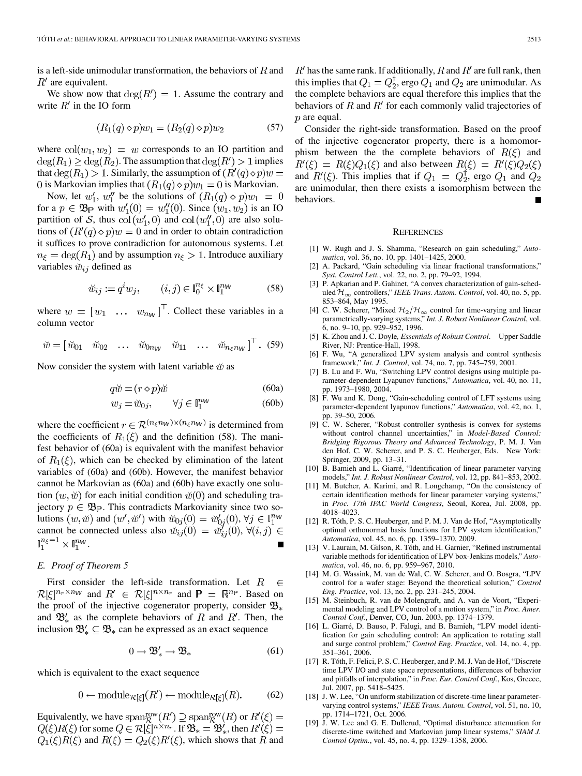is a left-side unimodular transformation, the behaviors of  $R$  and  $R'$  are equivalent.

We show now that  $deg(R') = 1$ . Assume the contrary and write  $R'$  in the IO form

$$
(R_1(q)\diamond p)w_1 = (R_2(q)\diamond p)w_2 \tag{57}
$$

where  $col(w_1, w_2) = w$  corresponds to an IO partition and  $deg(R_1) \geq deg(R_2)$ . The assumption that  $deg(R') > 1$  implies that  $deg(R_1) > 1$ . Similarly, the assumption of  $(R'(q) \diamond p)w =$ 0 is Markovian implies that  $(R_1(q) \diamond p)w_1 = 0$  is Markovian.

Now, let  $w'_1$ ,  $w''_1$  be the solutions of  $(R_1(q) \diamond p)w_1 = 0$ for a  $p \in \mathfrak{B}_{\mathbb{P}}$  with  $w'_1(0) = w''_1(0)$ . Since  $(w_1, w_2)$  is an IO partition of S, thus  $col(w'_1, 0)$  and  $col(w''_1, 0)$  are also solutions of  $(R'(q) \diamond p)w = 0$  and in order to obtain contradiction it suffices to prove contradiction for autonomous systems. Let  $n_{\xi} = \deg(R_1)$  and by assumption  $n_{\xi} > 1$ . Introduce auxiliary variables  $\breve{w}_{ij}$  defined as

$$
\check{w}_{ij} := q^i w_j, \qquad (i,j) \in \mathbb{I}_0^{n_{\xi}} \times \mathbb{I}_1^{n_W} \tag{58}
$$

where  $w = [w_1 \dots w_{nw}]^T$ . Collect these variables in a column vector

$$
\check{w} = \begin{bmatrix} \check{w}_{01} & \check{w}_{02} & \dots & \check{w}_{0n_W} & \check{w}_{11} & \dots & \check{w}_{n_\xi n_W} \end{bmatrix}^\top. (59)
$$

Now consider the system with latent variable  $\check{w}$  as

$$
q\breve{w} = (r \diamond p)\breve{w} \tag{60a}
$$

$$
w_j = w_{0j}, \qquad \forall j \in \mathbb{I}_1^{n_W} \tag{60b}
$$

where the coefficient  $r \in \mathcal{R}^{(n_{\xi}n_W)\times(n_{\xi}n_W)}$  is determined from the coefficients of  $R_1(\xi)$  and the definition (58). The manifest behavior of (60a) is equivalent with the manifest behavior of  $R_1(\xi)$ , which can be checked by elimination of the latent variables of (60a) and (60b). However, the manifest behavior cannot be Markovian as (60a) and (60b) have exactly one solution  $(w, \psi)$  for each initial condition  $\psi(0)$  and scheduling trajectory  $p \in \mathfrak{B}_{\mathbb{P}}$ . This contradicts Markovianity since two solutions  $(w,\breve w)$  and  $(w',\breve w')$  with  $\breve w_{0j}(0)=\breve w'_{0j}(0), \forall j\in \mathbb I^{n_{\scriptsize W}}_1$ cannot be connected unless also  $\ddot{w}_{ij}(0) = \ddot{w}_{ij}^j(0), \forall (i, j) \in$  $\mathbb{I}_1^{n_{\xi}-1}\times \mathbb{I}_1^{n_{\mathcal{W}}}.$ 

# *E. Proof of Theorem 5*

First consider the left-side transformation. Let  $R$  $\mathcal{R}[\xi]^{n_r \times n_W}$  and  $R' \in \mathcal{R}[\xi]^{n \times n_r}$  and  $\mathbb{P} = \mathbb{R}^{n_{\mathbb{P}}}$ . Based on the proof of the injective cogenerator property, consider  $\mathfrak{B}_*$ and  $\mathfrak{B}'_*$  as the complete behaviors of R and R'. Then, the inclusion  $\mathfrak{B}'_* \subseteq \mathfrak{B}_*$  can be expressed as an exact sequence

$$
0 \to \mathfrak{B}'_* \to \mathfrak{B}_* \tag{61}
$$

which is equivalent to the exact sequence

$$
0 \leftarrow \text{module}_{\mathcal{R}[\xi]}(R') \leftarrow \text{module}_{\mathcal{R}[\xi]}(R). \tag{62}
$$

Equivalently, we have  $\text{span}_{\mathcal{R}}^{\text{row}}(R') \supseteq \text{span}_{\mathcal{R}}^{\text{row}}(R)$  or for some  $Q \in \mathcal{R}[\xi]^{n \times n_r}$ . If  $\mathfrak{B}_* = \mathfrak{B}'_*$ , then  $Q_1(\xi)R(\xi)$  and  $R(\xi) = Q_2(\xi)R'(\xi)$ , which shows that R and  $R'$  has the same rank. If additionally, R and  $R'$  are full rank, then this implies that  $Q_1 = Q_2^{\dagger}$ , ergo  $Q_1$  and  $Q_2$  are unimodular. As the complete behaviors are equal therefore this implies that the behaviors of R and R' for each commonly valid trajectories of  $p$  are equal.

Consider the right-side transformation. Based on the proof of the injective cogenerator property, there is a homomorphism between the the complete behaviors of  $R(\xi)$  and  $R'(\xi) = R(\xi)Q_1(\xi)$  and also between  $R(\xi) = R'(\xi)Q_2(\xi)$ and  $R'(\xi)$ . This implies that if  $Q_1 = Q_2^{\dagger}$ , ergo  $Q_1$  and  $Q_2$ are unimodular, then there exists a isomorphism between the behaviors.

#### **REFERENCES**

- [1] W. Rugh and J. S. Shamma, "Research on gain scheduling," *Automatica*, vol. 36, no. 10, pp. 1401–1425, 2000.
- [2] A. Packard, "Gain scheduling via linear fractional transformations," *Syst. Control Lett.*, vol. 22, no. 2, pp. 79–92, 1994.
- [3] P. Apkarian and P. Gahinet, "A convex characterization of gain-scheduled  $\mathcal{H}_{\infty}$  controllers," *IEEE Trans. Autom. Control*, vol. 40, no. 5, pp. 853–864, May 1995.
- [4] C. W. Scherer, "Mixed  $\mathcal{H}_2/\mathcal{H}_{\infty}$  control for time-varying and linear parametrically-varying systems," *Int. J. Robust Nonlinear Control*, vol. 6, no. 9–10, pp. 929–952, 1996.
- [5] K. Zhou and J. C. Doyle*, Essentials of Robust Control*. Upper Saddle River, NJ: Prentice-Hall, 1998.
- [6] F. Wu, "A generalized LPV system analysis and control synthesis framework," *Int. J. Control*, vol. 74, no. 7, pp. 745–759, 2001.
- [7] B. Lu and F. Wu, "Switching LPV control designs using multiple parameter-dependent Lyapunov functions," *Automatica*, vol. 40, no. 11, pp. 1973–1980, 2004.
- [8] F. Wu and K. Dong, "Gain-scheduling control of LFT systems using parameter-dependent lyapunov functions," *Automatica*, vol. 42, no. 1, pp. 39–50, 2006.
- [9] C. W. Scherer, "Robust controller synthesis is convex for systems without control channel uncertainties," in *Model-Based Control: Bridging Rigorous Theory and Advanced Technology*, P. M. J. Van den Hof, C. W. Scherer, and P. S. C. Heuberger, Eds. New York: Springer, 2009, pp. 13–31.
- [10] B. Bamieh and L. Giarré, "Identification of linear parameter varying models," *Int. J. Robust Nonlinear Control*, vol. 12, pp. 841–853, 2002.
- [11] M. Butcher, A. Karimi, and R. Longchamp, "On the consistency of certain identification methods for linear parameter varying systems," in *Proc. 17th IFAC World Congress*, Seoul, Korea, Jul. 2008, pp. 4018–4023.
- [12] R. Tóth, P. S. C. Heuberger, and P. M. J. Van de Hof, "Asymptotically optimal orthonormal basis functions for LPV system identification," *Automatica*, vol. 45, no. 6, pp. 1359–1370, 2009.
- [13] V. Laurain, M. Gilson, R. Tóth, and H. Garnier, "Refined instrumental variable methods for identification of LPV box-Jenkins models," *Automatica*, vol. 46, no. 6, pp. 959–967, 2010.
- [14] M. G. Wassink, M. van de Wal, C. W. Scherer, and O. Bosgra, "LPV control for a wafer stage: Beyond the theoretical solution," *Control Eng. Practice*, vol. 13, no. 2, pp. 231–245, 2004.
- [15] M. Steinbuch, R. van de Molengraft, and A. van de Voort, "Experimental modeling and LPV control of a motion system," in *Proc. Amer. Control Conf.*, Denver, CO, Jun. 2003, pp. 1374–1379.
- [16] L. Giarré, D. Bauso, P. Falugi, and B. Bamieh, "LPV model identification for gain scheduling control: An application to rotating stall and surge control problem," *Control Eng. Practice*, vol. 14, no. 4, pp. 351–361, 2006.
- [17] R. Tóth, F. Felici, P. S. C. Heuberger, and P. M. J. Van de Hof, "Discrete time LPV I/O and state space representations, differences of behavior and pitfalls of interpolation," in *Proc. Eur. Control Conf.*, Kos, Greece, Jul. 2007, pp. 5418–5425.
- [18] J. W. Lee, "On uniform stabilization of discrete-time linear parametervarying control systems," *IEEE Trans. Autom. Control*, vol. 51, no. 10, pp. 1714–1721, Oct. 2006.
- [19] J. W. Lee and G. E. Dullerud, "Optimal disturbance attenuation for discrete-time switched and Markovian jump linear systems," *SIAM J. Control Optim.*, vol. 45, no. 4, pp. 1329–1358, 2006.